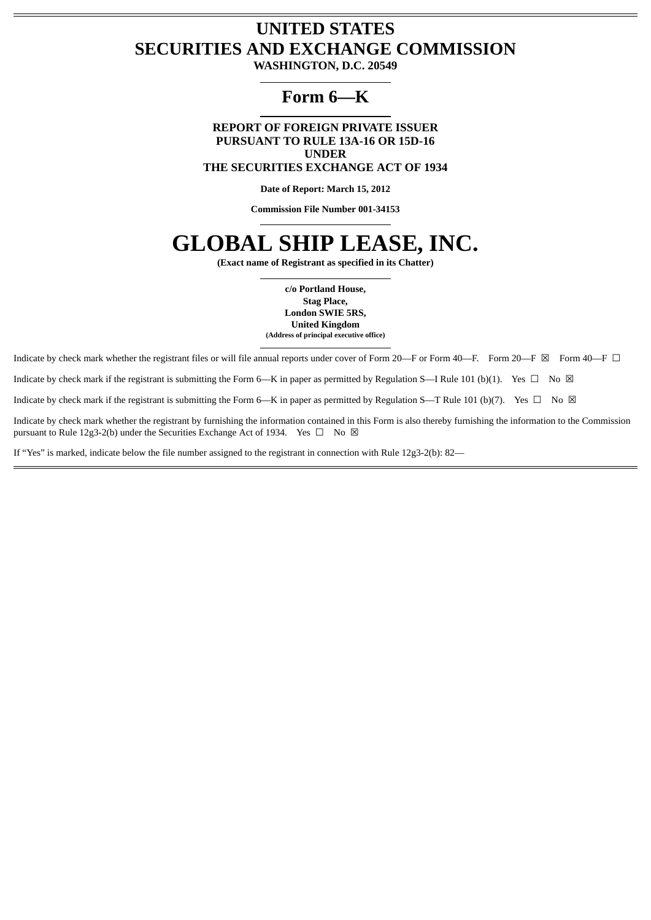# **UNITED STATES SECURITIES AND EXCHANGE COMMISSION**

**WASHINGTON, D.C. 20549**

## **Form 6—K**

**REPORT OF FOREIGN PRIVATE ISSUER PURSUANT TO RULE 13A-16 OR 15D-16 UNDER THE SECURITIES EXCHANGE ACT OF 1934**

**Date of Report: March 15, 2012**

**Commission File Number 001-34153**

# **GLOBAL SHIP LEASE, INC.**

**(Exact name of Registrant as specified in its Chatter)**

**c/o Portland House, Stag Place, London SWIE 5RS, United Kingdom (Address of principal executive office)**

Indicate by check mark whether the registrant files or will file annual reports under cover of Form 20—F or Form 40—F. Form 20—F ⊠ Form 40—F □

Indicate by check mark if the registrant is submitting the Form 6—K in paper as permitted by Regulation S—I Rule 101 (b)(1). Yes  $\Box$  No  $\boxtimes$ 

Indicate by check mark if the registrant is submitting the Form 6—K in paper as permitted by Regulation S—T Rule 101 (b)(7). Yes  $\Box$  No  $\boxtimes$ 

Indicate by check mark whether the registrant by furnishing the information contained in this Form is also thereby furnishing the information to the Commission pursuant to Rule 12g3-2(b) under the Securities Exchange Act of 1934. Yes □ No ⊠

If "Yes" is marked, indicate below the file number assigned to the registrant in connection with Rule 12g3-2(b): 82—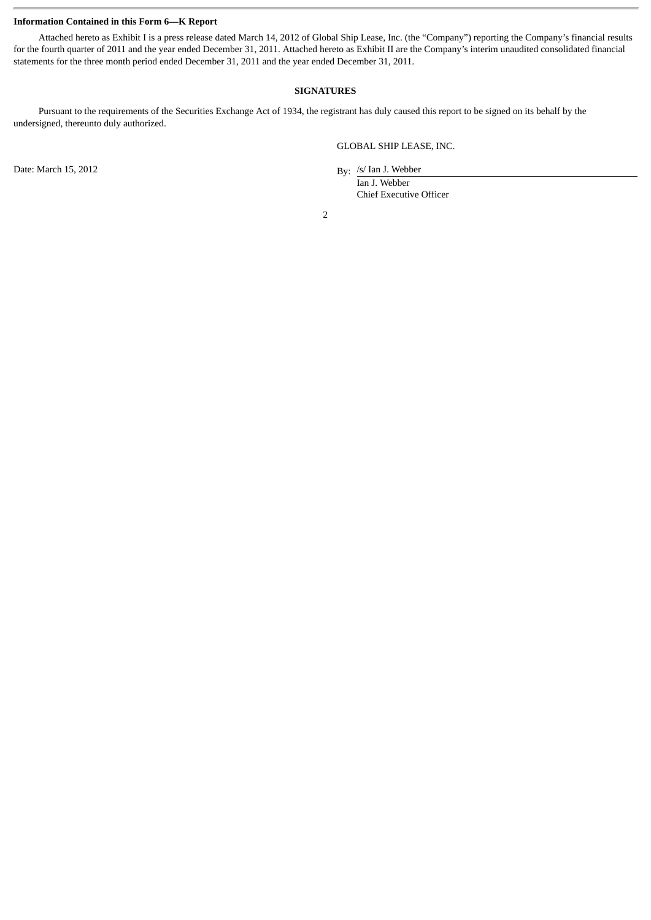#### **Information Contained in this Form 6—K Report**

Attached hereto as Exhibit I is a press release dated March 14, 2012 of Global Ship Lease, Inc. (the "Company") reporting the Company's financial results for the fourth quarter of 2011 and the year ended December 31, 2011. Attached hereto as Exhibit II are the Company's interim unaudited consolidated financial statements for the three month period ended December 31, 2011 and the year ended December 31, 2011.

#### **SIGNATURES**

Pursuant to the requirements of the Securities Exchange Act of 1934, the registrant has duly caused this report to be signed on its behalf by the undersigned, thereunto duly authorized.

GLOBAL SHIP LEASE, INC.

Date: March 15, 2012 By: /s/ Ian J. Webber

Ian J. Webber Chief Executive Officer

2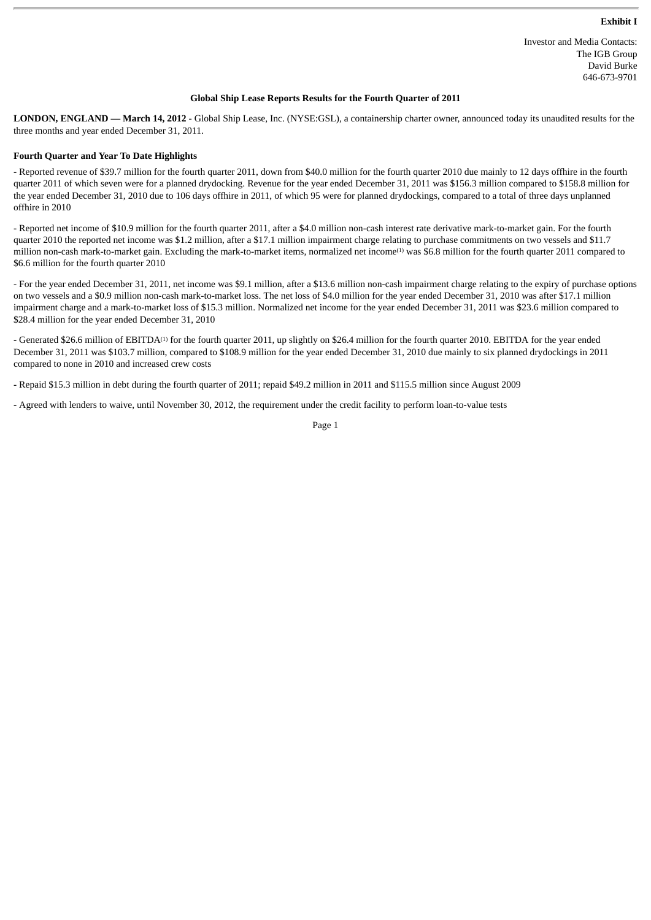#### **Exhibit I**

Investor and Media Contacts: The IGB Group David Burke 646-673-9701

#### **Global Ship Lease Reports Results for the Fourth Quarter of 2011**

**LONDON, ENGLAND — March 14, 2012** - Global Ship Lease, Inc. (NYSE:GSL), a containership charter owner, announced today its unaudited results for the three months and year ended December 31, 2011.

#### **Fourth Quarter and Year To Date Highlights**

- Reported revenue of \$39.7 million for the fourth quarter 2011, down from \$40.0 million for the fourth quarter 2010 due mainly to 12 days offhire in the fourth quarter 2011 of which seven were for a planned drydocking. Revenue for the year ended December 31, 2011 was \$156.3 million compared to \$158.8 million for the year ended December 31, 2010 due to 106 days offhire in 2011, of which 95 were for planned drydockings, compared to a total of three days unplanned offhire in 2010

- Reported net income of \$10.9 million for the fourth quarter 2011, after a \$4.0 million non-cash interest rate derivative mark-to-market gain. For the fourth quarter 2010 the reported net income was \$1.2 million, after a \$17.1 million impairment charge relating to purchase commitments on two vessels and \$11.7 million non-cash mark-to-market gain. Excluding the mark-to-market items, normalized net income<sup>(1)</sup> was \$6.8 million for the fourth quarter 2011 compared to \$6.6 million for the fourth quarter 2010

- For the year ended December 31, 2011, net income was \$9.1 million, after a \$13.6 million non-cash impairment charge relating to the expiry of purchase options on two vessels and a \$0.9 million non-cash mark-to-market loss. The net loss of \$4.0 million for the year ended December 31, 2010 was after \$17.1 million impairment charge and a mark-to-market loss of \$15.3 million. Normalized net income for the year ended December 31, 2011 was \$23.6 million compared to \$28.4 million for the year ended December 31, 2010

- Generated \$26.6 million of EBITDA<sup>(1)</sup> for the fourth quarter 2011, up slightly on \$26.4 million for the fourth quarter 2010. EBITDA for the year ended December 31, 2011 was \$103.7 million, compared to \$108.9 million for the year ended December 31, 2010 due mainly to six planned drydockings in 2011 compared to none in 2010 and increased crew costs

- Repaid \$15.3 million in debt during the fourth quarter of 2011; repaid \$49.2 million in 2011 and \$115.5 million since August 2009

- Agreed with lenders to waive, until November 30, 2012, the requirement under the credit facility to perform loan-to-value tests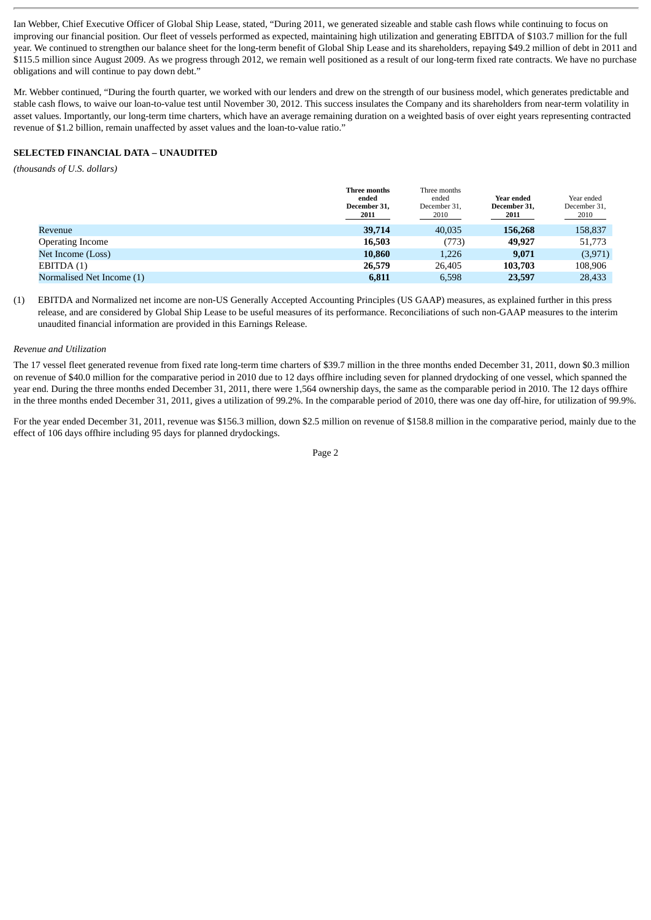Ian Webber, Chief Executive Officer of Global Ship Lease, stated, "During 2011, we generated sizeable and stable cash flows while continuing to focus on improving our financial position. Our fleet of vessels performed as expected, maintaining high utilization and generating EBITDA of \$103.7 million for the full year. We continued to strengthen our balance sheet for the long-term benefit of Global Ship Lease and its shareholders, repaying \$49.2 million of debt in 2011 and \$115.5 million since August 2009. As we progress through 2012, we remain well positioned as a result of our long-term fixed rate contracts. We have no purchase obligations and will continue to pay down debt."

Mr. Webber continued, "During the fourth quarter, we worked with our lenders and drew on the strength of our business model, which generates predictable and stable cash flows, to waive our loan-to-value test until November 30, 2012. This success insulates the Company and its shareholders from near-term volatility in asset values. Importantly, our long-term time charters, which have an average remaining duration on a weighted basis of over eight years representing contracted revenue of \$1.2 billion, remain unaffected by asset values and the loan-to-value ratio."

## **SELECTED FINANCIAL DATA – UNAUDITED**

*(thousands of U.S. dollars)*

|                           | Three months<br>ended<br>December 31.<br>2011 | Three months<br>ended<br>December 31,<br>2010 | Year ended<br>December 31,<br>2011 | Year ended<br>December 31,<br>2010 |
|---------------------------|-----------------------------------------------|-----------------------------------------------|------------------------------------|------------------------------------|
| Revenue                   | 39,714                                        | 40,035                                        | 156,268                            | 158,837                            |
| <b>Operating Income</b>   | 16,503                                        | (773)                                         | 49,927                             | 51,773                             |
| Net Income (Loss)         | 10,860                                        | 1,226                                         | 9,071                              | (3,971)                            |
| EBITDA (1)                | 26,579                                        | 26,405                                        | 103,703                            | 108,906                            |
| Normalised Net Income (1) | 6,811                                         | 6,598                                         | 23,597                             | 28,433                             |

(1) EBITDA and Normalized net income are non-US Generally Accepted Accounting Principles (US GAAP) measures, as explained further in this press release, and are considered by Global Ship Lease to be useful measures of its performance. Reconciliations of such non-GAAP measures to the interim unaudited financial information are provided in this Earnings Release.

#### *Revenue and Utilization*

The 17 vessel fleet generated revenue from fixed rate long-term time charters of \$39.7 million in the three months ended December 31, 2011, down \$0.3 million on revenue of \$40.0 million for the comparative period in 2010 due to 12 days offhire including seven for planned drydocking of one vessel, which spanned the year end. During the three months ended December 31, 2011, there were 1,564 ownership days, the same as the comparable period in 2010. The 12 days offhire in the three months ended December 31, 2011, gives a utilization of 99.2%. In the comparable period of 2010, there was one day off-hire, for utilization of 99.9%.

For the year ended December 31, 2011, revenue was \$156.3 million, down \$2.5 million on revenue of \$158.8 million in the comparative period, mainly due to the effect of 106 days offhire including 95 days for planned drydockings.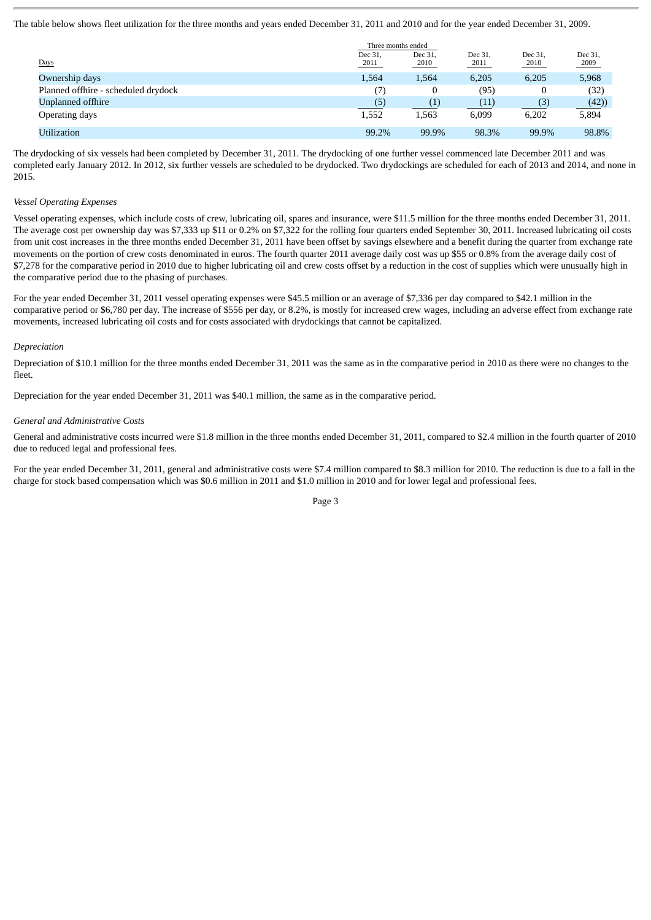The table below shows fleet utilization for the three months and years ended December 31, 2011 and 2010 and for the year ended December 31, 2009.

|                                     |                 | Three months ended |                 |                 |                 |  |  |  |  |  |
|-------------------------------------|-----------------|--------------------|-----------------|-----------------|-----------------|--|--|--|--|--|
| Days                                | Dec 31,<br>2011 | Dec 31,<br>2010    | Dec 31,<br>2011 | Dec 31.<br>2010 | Dec 31,<br>2009 |  |  |  |  |  |
| Ownership days                      | 1,564           | 1,564              | 6,205           | 6,205           | 5,968           |  |  |  |  |  |
| Planned offhire - scheduled drydock | (7)             | 0                  | (95)            | 0               | (32)            |  |  |  |  |  |
| Unplanned offhire                   | (5)             | (1)                | (11)            | (3)             | (42)            |  |  |  |  |  |
| Operating days                      | 1,552           | 1,563              | 6.099           | 6,202           | 5,894           |  |  |  |  |  |
| <b>Utilization</b>                  | 99.2%           | 99.9%              | 98.3%           | 99.9%           | 98.8%           |  |  |  |  |  |

The drydocking of six vessels had been completed by December 31, 2011. The drydocking of one further vessel commenced late December 2011 and was completed early January 2012. In 2012, six further vessels are scheduled to be drydocked. Two drydockings are scheduled for each of 2013 and 2014, and none in 2015.

#### *Vessel Operating Expenses*

Vessel operating expenses, which include costs of crew, lubricating oil, spares and insurance, were \$11.5 million for the three months ended December 31, 2011. The average cost per ownership day was \$7,333 up \$11 or 0.2% on \$7,322 for the rolling four quarters ended September 30, 2011. Increased lubricating oil costs from unit cost increases in the three months ended December 31, 2011 have been offset by savings elsewhere and a benefit during the quarter from exchange rate movements on the portion of crew costs denominated in euros. The fourth quarter 2011 average daily cost was up \$55 or 0.8% from the average daily cost of \$7,278 for the comparative period in 2010 due to higher lubricating oil and crew costs offset by a reduction in the cost of supplies which were unusually high in the comparative period due to the phasing of purchases.

For the year ended December 31, 2011 vessel operating expenses were \$45.5 million or an average of \$7,336 per day compared to \$42.1 million in the comparative period or \$6,780 per day. The increase of \$556 per day, or 8.2%, is mostly for increased crew wages, including an adverse effect from exchange rate movements, increased lubricating oil costs and for costs associated with drydockings that cannot be capitalized.

## *Depreciation*

Depreciation of \$10.1 million for the three months ended December 31, 2011 was the same as in the comparative period in 2010 as there were no changes to the fleet.

Depreciation for the year ended December 31, 2011 was \$40.1 million, the same as in the comparative period.

#### *General and Administrative Costs*

General and administrative costs incurred were \$1.8 million in the three months ended December 31, 2011, compared to \$2.4 million in the fourth quarter of 2010 due to reduced legal and professional fees.

For the year ended December 31, 2011, general and administrative costs were \$7.4 million compared to \$8.3 million for 2010. The reduction is due to a fall in the charge for stock based compensation which was \$0.6 million in 2011 and \$1.0 million in 2010 and for lower legal and professional fees.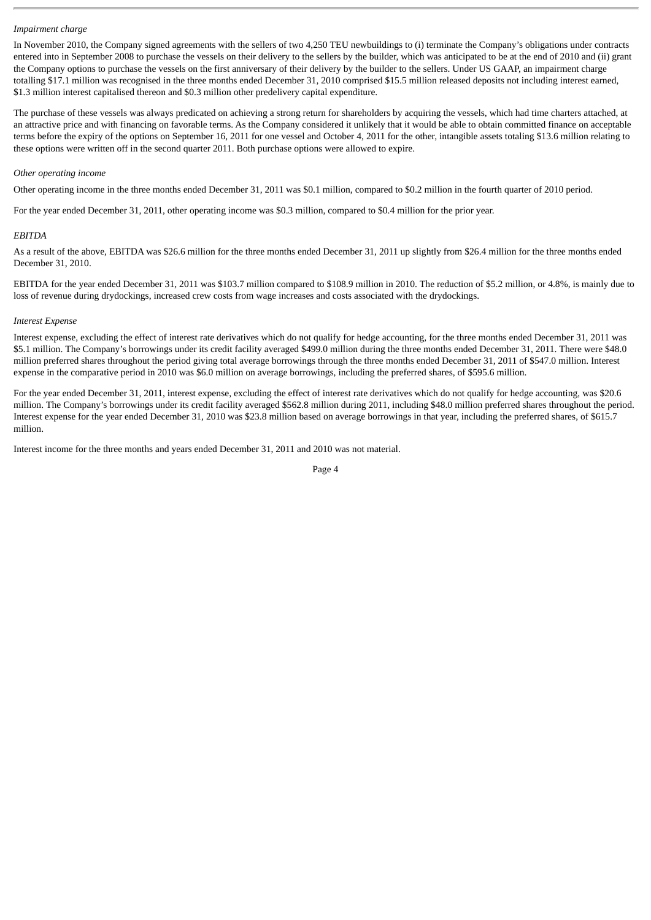#### *Impairment charge*

In November 2010, the Company signed agreements with the sellers of two 4,250 TEU newbuildings to (i) terminate the Company's obligations under contracts entered into in September 2008 to purchase the vessels on their delivery to the sellers by the builder, which was anticipated to be at the end of 2010 and (ii) grant the Company options to purchase the vessels on the first anniversary of their delivery by the builder to the sellers. Under US GAAP, an impairment charge totalling \$17.1 million was recognised in the three months ended December 31, 2010 comprised \$15.5 million released deposits not including interest earned, \$1.3 million interest capitalised thereon and \$0.3 million other predelivery capital expenditure.

The purchase of these vessels was always predicated on achieving a strong return for shareholders by acquiring the vessels, which had time charters attached, at an attractive price and with financing on favorable terms. As the Company considered it unlikely that it would be able to obtain committed finance on acceptable terms before the expiry of the options on September 16, 2011 for one vessel and October 4, 2011 for the other, intangible assets totaling \$13.6 million relating to these options were written off in the second quarter 2011. Both purchase options were allowed to expire.

#### *Other operating income*

Other operating income in the three months ended December 31, 2011 was \$0.1 million, compared to \$0.2 million in the fourth quarter of 2010 period.

For the year ended December 31, 2011, other operating income was \$0.3 million, compared to \$0.4 million for the prior year.

#### *EBITDA*

As a result of the above, EBITDA was \$26.6 million for the three months ended December 31, 2011 up slightly from \$26.4 million for the three months ended December 31, 2010.

EBITDA for the year ended December 31, 2011 was \$103.7 million compared to \$108.9 million in 2010. The reduction of \$5.2 million, or 4.8%, is mainly due to loss of revenue during drydockings, increased crew costs from wage increases and costs associated with the drydockings.

#### *Interest Expense*

Interest expense, excluding the effect of interest rate derivatives which do not qualify for hedge accounting, for the three months ended December 31, 2011 was \$5.1 million. The Company's borrowings under its credit facility averaged \$499.0 million during the three months ended December 31, 2011. There were \$48.0 million preferred shares throughout the period giving total average borrowings through the three months ended December 31, 2011 of \$547.0 million. Interest expense in the comparative period in 2010 was \$6.0 million on average borrowings, including the preferred shares, of \$595.6 million.

For the year ended December 31, 2011, interest expense, excluding the effect of interest rate derivatives which do not qualify for hedge accounting, was \$20.6 million. The Company's borrowings under its credit facility averaged \$562.8 million during 2011, including \$48.0 million preferred shares throughout the period. Interest expense for the year ended December 31, 2010 was \$23.8 million based on average borrowings in that year, including the preferred shares, of \$615.7 million.

Interest income for the three months and years ended December 31, 2011 and 2010 was not material.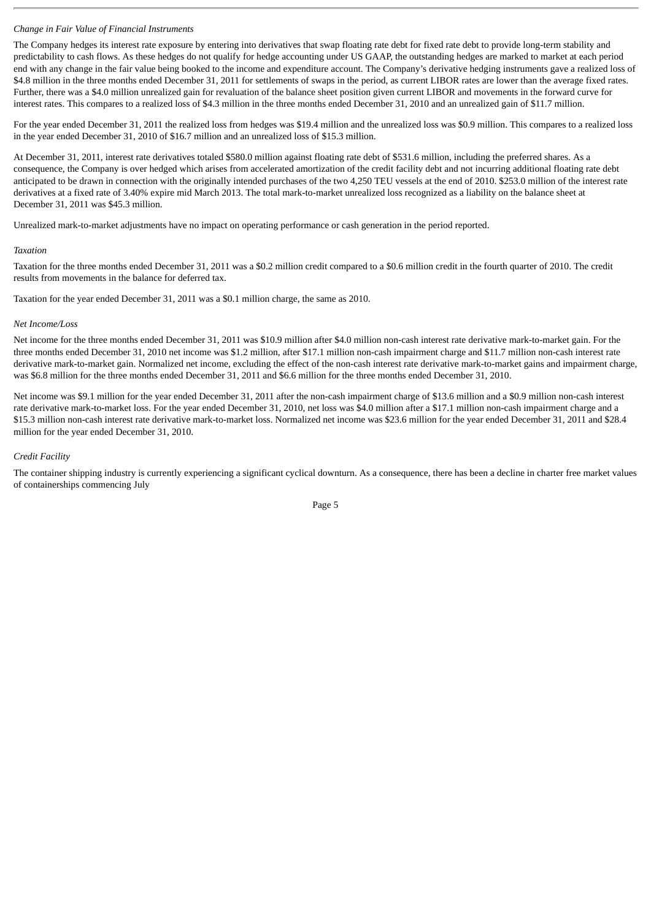## *Change in Fair Value of Financial Instruments*

The Company hedges its interest rate exposure by entering into derivatives that swap floating rate debt for fixed rate debt to provide long-term stability and predictability to cash flows. As these hedges do not qualify for hedge accounting under US GAAP, the outstanding hedges are marked to market at each period end with any change in the fair value being booked to the income and expenditure account. The Company's derivative hedging instruments gave a realized loss of \$4.8 million in the three months ended December 31, 2011 for settlements of swaps in the period, as current LIBOR rates are lower than the average fixed rates. Further, there was a \$4.0 million unrealized gain for revaluation of the balance sheet position given current LIBOR and movements in the forward curve for interest rates. This compares to a realized loss of \$4.3 million in the three months ended December 31, 2010 and an unrealized gain of \$11.7 million.

For the year ended December 31, 2011 the realized loss from hedges was \$19.4 million and the unrealized loss was \$0.9 million. This compares to a realized loss in the year ended December 31, 2010 of \$16.7 million and an unrealized loss of \$15.3 million.

At December 31, 2011, interest rate derivatives totaled \$580.0 million against floating rate debt of \$531.6 million, including the preferred shares. As a consequence, the Company is over hedged which arises from accelerated amortization of the credit facility debt and not incurring additional floating rate debt anticipated to be drawn in connection with the originally intended purchases of the two 4,250 TEU vessels at the end of 2010. \$253.0 million of the interest rate derivatives at a fixed rate of 3.40% expire mid March 2013. The total mark-to-market unrealized loss recognized as a liability on the balance sheet at December 31, 2011 was \$45.3 million.

Unrealized mark-to-market adjustments have no impact on operating performance or cash generation in the period reported.

#### *Taxation*

Taxation for the three months ended December 31, 2011 was a \$0.2 million credit compared to a \$0.6 million credit in the fourth quarter of 2010. The credit results from movements in the balance for deferred tax.

Taxation for the year ended December 31, 2011 was a \$0.1 million charge, the same as 2010.

#### *Net Income/Loss*

Net income for the three months ended December 31, 2011 was \$10.9 million after \$4.0 million non-cash interest rate derivative mark-to-market gain. For the three months ended December 31, 2010 net income was \$1.2 million, after \$17.1 million non-cash impairment charge and \$11.7 million non-cash interest rate derivative mark-to-market gain. Normalized net income, excluding the effect of the non-cash interest rate derivative mark-to-market gains and impairment charge, was \$6.8 million for the three months ended December 31, 2011 and \$6.6 million for the three months ended December 31, 2010.

Net income was \$9.1 million for the year ended December 31, 2011 after the non-cash impairment charge of \$13.6 million and a \$0.9 million non-cash interest rate derivative mark-to-market loss. For the year ended December 31, 2010, net loss was \$4.0 million after a \$17.1 million non-cash impairment charge and a \$15.3 million non-cash interest rate derivative mark-to-market loss. Normalized net income was \$23.6 million for the year ended December 31, 2011 and \$28.4 million for the year ended December 31, 2010.

#### *Credit Facility*

The container shipping industry is currently experiencing a significant cyclical downturn. As a consequence, there has been a decline in charter free market values of containerships commencing July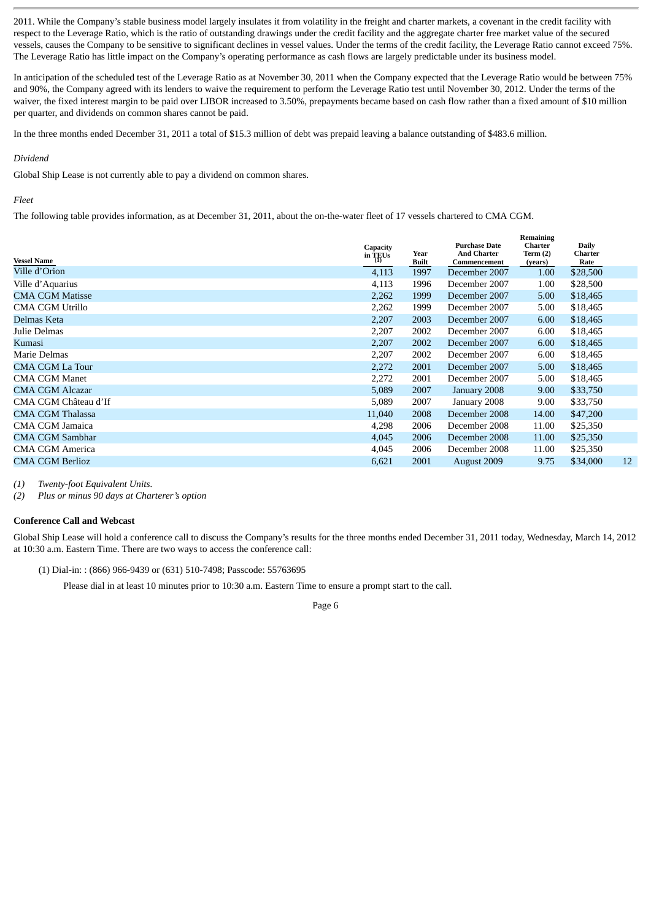2011. While the Company's stable business model largely insulates it from volatility in the freight and charter markets, a covenant in the credit facility with respect to the Leverage Ratio, which is the ratio of outstanding drawings under the credit facility and the aggregate charter free market value of the secured vessels, causes the Company to be sensitive to significant declines in vessel values. Under the terms of the credit facility, the Leverage Ratio cannot exceed 75%. The Leverage Ratio has little impact on the Company's operating performance as cash flows are largely predictable under its business model.

In anticipation of the scheduled test of the Leverage Ratio as at November 30, 2011 when the Company expected that the Leverage Ratio would be between 75% and 90%, the Company agreed with its lenders to waive the requirement to perform the Leverage Ratio test until November 30, 2012. Under the terms of the waiver, the fixed interest margin to be paid over LIBOR increased to 3.50%, prepayments became based on cash flow rather than a fixed amount of \$10 million per quarter, and dividends on common shares cannot be paid.

In the three months ended December 31, 2011 a total of \$15.3 million of debt was prepaid leaving a balance outstanding of \$483.6 million.

#### *Dividend*

Global Ship Lease is not currently able to pay a dividend on common shares.

## *Fleet*

The following table provides information, as at December 31, 2011, about the on-the-water fleet of 17 vessels chartered to CMA CGM.

|                        |                 | Remaining |                                            |                    |                         |    |  |  |
|------------------------|-----------------|-----------|--------------------------------------------|--------------------|-------------------------|----|--|--|
|                        | Capacity        | Year      | <b>Purchase Date</b><br><b>And Charter</b> | Charter            | Daily<br><b>Charter</b> |    |  |  |
| <b>Vessel Name</b>     | in $T_{(1)}$ Us | Built     | Commencement                               | Term(2)<br>(years) | Rate                    |    |  |  |
| Ville d'Orion          | 4,113           | 1997      | December 2007                              | 1.00               | \$28,500                |    |  |  |
| Ville d'Aquarius       | 4,113           | 1996      | December 2007                              | 1.00               | \$28,500                |    |  |  |
| <b>CMA CGM Matisse</b> | 2,262           | 1999      | December 2007                              | 5.00               | \$18,465                |    |  |  |
| <b>CMA CGM Utrillo</b> | 2,262           | 1999      | December 2007                              | 5.00               | \$18,465                |    |  |  |
| Delmas Keta            | 2,207           | 2003      | December 2007                              | 6.00               | \$18,465                |    |  |  |
| Julie Delmas           | 2,207           | 2002      | December 2007                              | 6.00               | \$18,465                |    |  |  |
| Kumasi                 | 2,207           | 2002      | December 2007                              | 6.00               | \$18,465                |    |  |  |
| Marie Delmas           | 2,207           | 2002      | December 2007                              | 6.00               | \$18,465                |    |  |  |
| <b>CMA CGM La Tour</b> | 2,272           | 2001      | December 2007                              | 5.00               | \$18,465                |    |  |  |
| <b>CMA CGM Manet</b>   | 2,272           | 2001      | December 2007                              | 5.00               | \$18,465                |    |  |  |
| <b>CMA CGM Alcazar</b> | 5,089           | 2007      | January 2008                               | 9.00               | \$33,750                |    |  |  |
| CMA CGM Château d'If   | 5,089           | 2007      | January 2008                               | 9.00               | \$33,750                |    |  |  |
| CMA CGM Thalassa       | 11,040          | 2008      | December 2008                              | 14.00              | \$47,200                |    |  |  |
| CMA CGM Jamaica        | 4,298           | 2006      | December 2008                              | 11.00              | \$25,350                |    |  |  |
| <b>CMA CGM Sambhar</b> | 4,045           | 2006      | December 2008                              | 11.00              | \$25,350                |    |  |  |
| <b>CMA CGM America</b> | 4,045           | 2006      | December 2008                              | 11.00              | \$25,350                |    |  |  |
| <b>CMA CGM Berlioz</b> | 6,621           | 2001      | August 2009                                | 9.75               | \$34,000                | 12 |  |  |
|                        |                 |           |                                            |                    |                         |    |  |  |

*(1) Twenty-foot Equivalent Units.*

*(2) Plus or minus 90 days at Charterer's option*

#### **Conference Call and Webcast**

Global Ship Lease will hold a conference call to discuss the Company's results for the three months ended December 31, 2011 today, Wednesday, March 14, 2012 at 10:30 a.m. Eastern Time. There are two ways to access the conference call:

(1) Dial-in: : (866) 966-9439 or (631) 510-7498; Passcode: 55763695

Please dial in at least 10 minutes prior to 10:30 a.m. Eastern Time to ensure a prompt start to the call.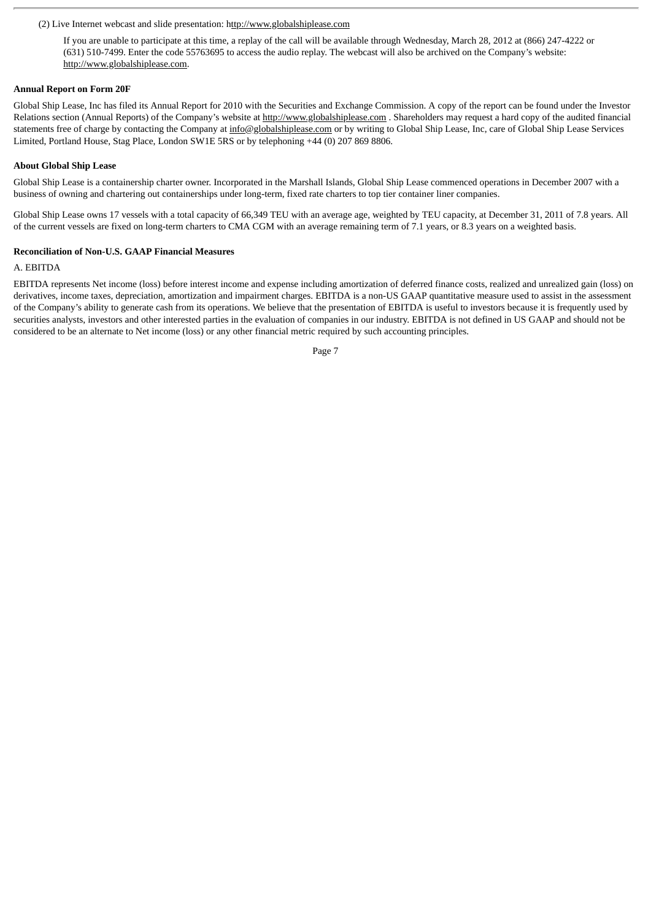(2) Live Internet webcast and slide presentation: http://www.globalshiplease.com

If you are unable to participate at this time, a replay of the call will be available through Wednesday, March 28, 2012 at (866) 247-4222 or (631) 510-7499. Enter the code 55763695 to access the audio replay. The webcast will also be archived on the Company's website: http://www.globalshiplease.com.

#### **Annual Report on Form 20F**

Global Ship Lease, Inc has filed its Annual Report for 2010 with the Securities and Exchange Commission. A copy of the report can be found under the Investor Relations section (Annual Reports) of the Company's website at http://www.globalshiplease.com . Shareholders may request a hard copy of the audited financial statements free of charge by contacting the Company at info@globalshiplease.com or by writing to Global Ship Lease, Inc, care of Global Ship Lease Services Limited, Portland House, Stag Place, London SW1E 5RS or by telephoning +44 (0) 207 869 8806.

#### **About Global Ship Lease**

Global Ship Lease is a containership charter owner. Incorporated in the Marshall Islands, Global Ship Lease commenced operations in December 2007 with a business of owning and chartering out containerships under long-term, fixed rate charters to top tier container liner companies.

Global Ship Lease owns 17 vessels with a total capacity of 66,349 TEU with an average age, weighted by TEU capacity, at December 31, 2011 of 7.8 years. All of the current vessels are fixed on long-term charters to CMA CGM with an average remaining term of 7.1 years, or 8.3 years on a weighted basis.

#### **Reconciliation of Non-U.S. GAAP Financial Measures**

### A. EBITDA

EBITDA represents Net income (loss) before interest income and expense including amortization of deferred finance costs, realized and unrealized gain (loss) on derivatives, income taxes, depreciation, amortization and impairment charges. EBITDA is a non-US GAAP quantitative measure used to assist in the assessment of the Company's ability to generate cash from its operations. We believe that the presentation of EBITDA is useful to investors because it is frequently used by securities analysts, investors and other interested parties in the evaluation of companies in our industry. EBITDA is not defined in US GAAP and should not be considered to be an alternate to Net income (loss) or any other financial metric required by such accounting principles.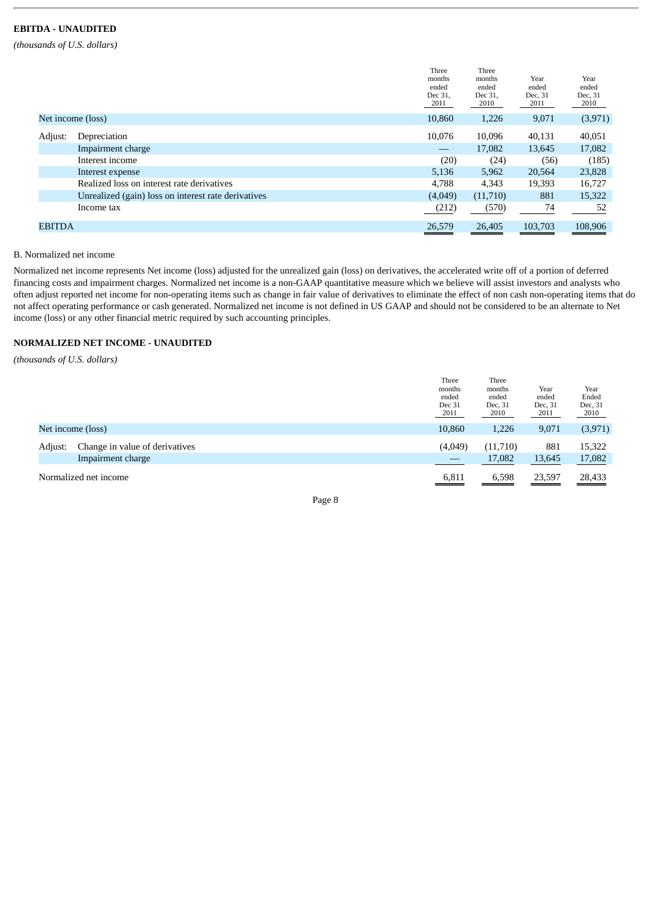## **EBITDA - UNAUDITED**

*(thousands of U.S. dollars)*

|               |                                                     | Three<br>months<br>ended<br>Dec 31,<br>2011 | Three<br>months<br>ended<br>Dec 31,<br>2010 | Year<br>ended<br>Dec, 31<br>2011 | Year<br>ended<br>Dec, 31<br>2010 |
|---------------|-----------------------------------------------------|---------------------------------------------|---------------------------------------------|----------------------------------|----------------------------------|
|               | Net income (loss)                                   | 10,860                                      | 1,226                                       | 9,071                            | (3,971)                          |
| Adjust:       | Depreciation                                        | 10,076                                      | 10,096                                      | 40,131                           | 40,051                           |
|               | Impairment charge                                   |                                             | 17,082                                      | 13,645                           | 17,082                           |
|               | Interest income                                     | (20)                                        | (24)                                        | (56)                             | (185)                            |
|               | Interest expense                                    | 5,136                                       | 5,962                                       | 20,564                           | 23,828                           |
|               | Realized loss on interest rate derivatives          | 4,788                                       | 4,343                                       | 19,393                           | 16,727                           |
|               | Unrealized (gain) loss on interest rate derivatives | (4,049)                                     | (11,710)                                    | 881                              | 15,322                           |
|               | Income tax                                          | (212)                                       | (570)                                       | 74                               | 52                               |
| <b>EBITDA</b> |                                                     | 26,579                                      | 26,405                                      | 103,703                          | 108,906                          |

B. Normalized net income

Normalized net income represents Net income (loss) adjusted for the unrealized gain (loss) on derivatives, the accelerated write off of a portion of deferred financing costs and impairment charges. Normalized net income is a non-GAAP quantitative measure which we believe will assist investors and analysts who often adjust reported net income for non-operating items such as change in fair value of derivatives to eliminate the effect of non cash non-operating items that do not affect operating performance or cash generated. Normalized net income is not defined in US GAAP and should not be considered to be an alternate to Net income (loss) or any other financial metric required by such accounting principles.

## **NORMALIZED NET INCOME - UNAUDITED**

*(thousands of U.S. dollars)*

|                   |                                | Three<br>months<br>ended<br>Dec 31<br>2011 | Three<br>months<br>ended<br>Dec, 31<br>2010 | Year<br>ended<br>Dec, 31<br>2011 | Year<br>Ended<br>Dec, 31<br>2010 |
|-------------------|--------------------------------|--------------------------------------------|---------------------------------------------|----------------------------------|----------------------------------|
| Net income (loss) |                                | 10,860                                     | 1,226                                       | 9,071                            | (3,971)                          |
| Adjust:           | Change in value of derivatives | (4,049)                                    | (11,710)                                    | 881                              | 15,322                           |
|                   | Impairment charge              | $\overbrace{\hspace{15em}}$                | 17,082                                      | 13,645                           | 17,082                           |
|                   | Normalized net income          | 6,811                                      | 6,598                                       | 23,597                           | 28,433                           |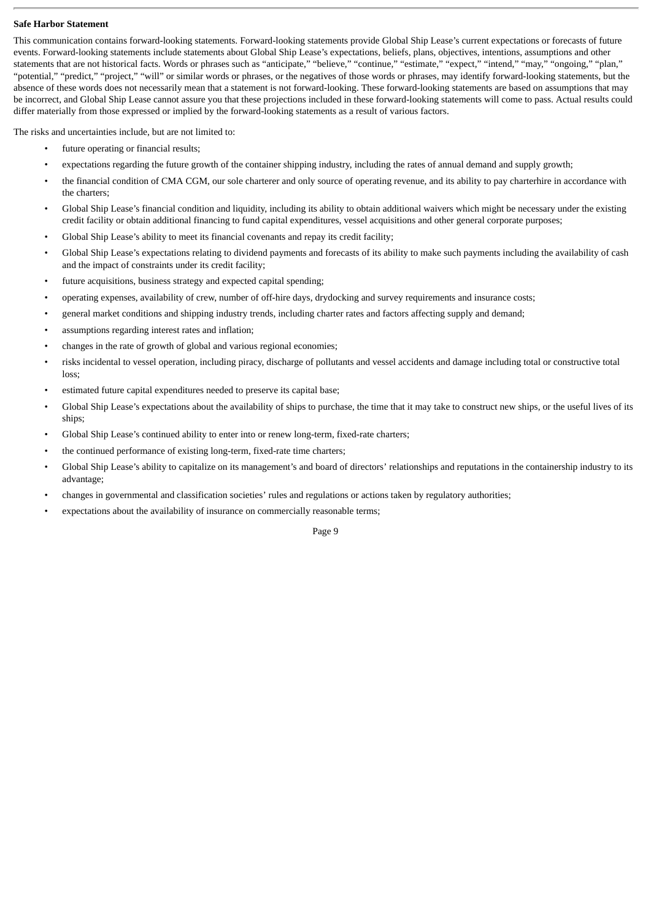#### **Safe Harbor Statement**

This communication contains forward-looking statements. Forward-looking statements provide Global Ship Lease's current expectations or forecasts of future events. Forward-looking statements include statements about Global Ship Lease's expectations, beliefs, plans, objectives, intentions, assumptions and other statements that are not historical facts. Words or phrases such as "anticipate," "believe," "continue," "estimate," "expect," "intend," "may," "ongoing," "plan," "potential," "predict," "project," "will" or similar words or phrases, or the negatives of those words or phrases, may identify forward-looking statements, but the absence of these words does not necessarily mean that a statement is not forward-looking. These forward-looking statements are based on assumptions that may be incorrect, and Global Ship Lease cannot assure you that these projections included in these forward-looking statements will come to pass. Actual results could differ materially from those expressed or implied by the forward-looking statements as a result of various factors.

The risks and uncertainties include, but are not limited to:

- future operating or financial results;
- expectations regarding the future growth of the container shipping industry, including the rates of annual demand and supply growth;
- the financial condition of CMA CGM, our sole charterer and only source of operating revenue, and its ability to pay charterhire in accordance with the charters;
- Global Ship Lease's financial condition and liquidity, including its ability to obtain additional waivers which might be necessary under the existing credit facility or obtain additional financing to fund capital expenditures, vessel acquisitions and other general corporate purposes;
- Global Ship Lease's ability to meet its financial covenants and repay its credit facility;
- Global Ship Lease's expectations relating to dividend payments and forecasts of its ability to make such payments including the availability of cash and the impact of constraints under its credit facility;
- future acquisitions, business strategy and expected capital spending;
- operating expenses, availability of crew, number of off-hire days, drydocking and survey requirements and insurance costs;
- general market conditions and shipping industry trends, including charter rates and factors affecting supply and demand;
- assumptions regarding interest rates and inflation;
- changes in the rate of growth of global and various regional economies;
- risks incidental to vessel operation, including piracy, discharge of pollutants and vessel accidents and damage including total or constructive total loss;
- estimated future capital expenditures needed to preserve its capital base;
- Global Ship Lease's expectations about the availability of ships to purchase, the time that it may take to construct new ships, or the useful lives of its ships;
- Global Ship Lease's continued ability to enter into or renew long-term, fixed-rate charters;
- the continued performance of existing long-term, fixed-rate time charters;
- Global Ship Lease's ability to capitalize on its management's and board of directors' relationships and reputations in the containership industry to its advantage;
- changes in governmental and classification societies' rules and regulations or actions taken by regulatory authorities;
- expectations about the availability of insurance on commercially reasonable terms;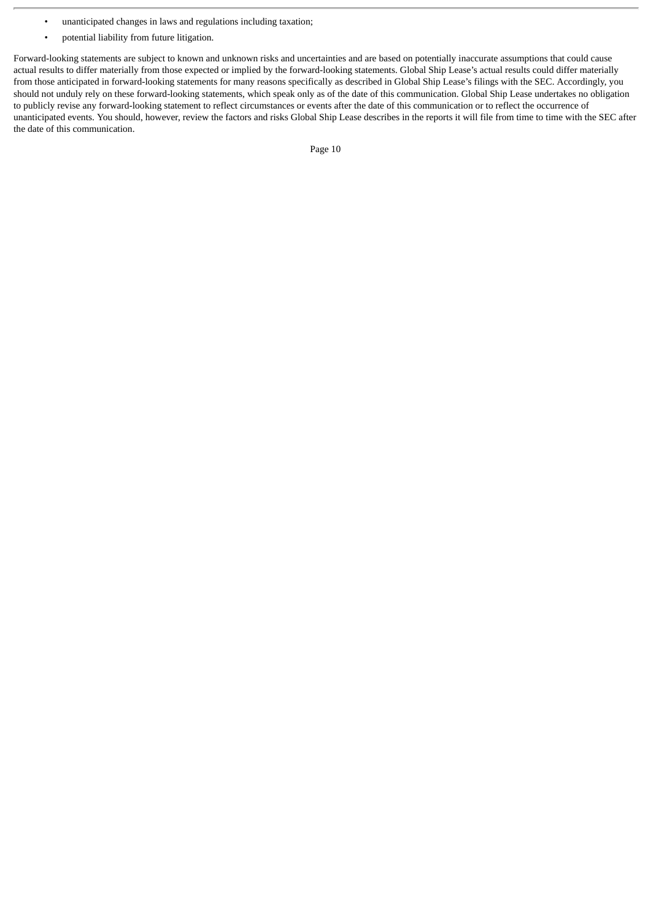- unanticipated changes in laws and regulations including taxation;
- potential liability from future litigation.

Forward-looking statements are subject to known and unknown risks and uncertainties and are based on potentially inaccurate assumptions that could cause actual results to differ materially from those expected or implied by the forward-looking statements. Global Ship Lease's actual results could differ materially from those anticipated in forward-looking statements for many reasons specifically as described in Global Ship Lease's filings with the SEC. Accordingly, you should not unduly rely on these forward-looking statements, which speak only as of the date of this communication. Global Ship Lease undertakes no obligation to publicly revise any forward-looking statement to reflect circumstances or events after the date of this communication or to reflect the occurrence of unanticipated events. You should, however, review the factors and risks Global Ship Lease describes in the reports it will file from time to time with the SEC after the date of this communication.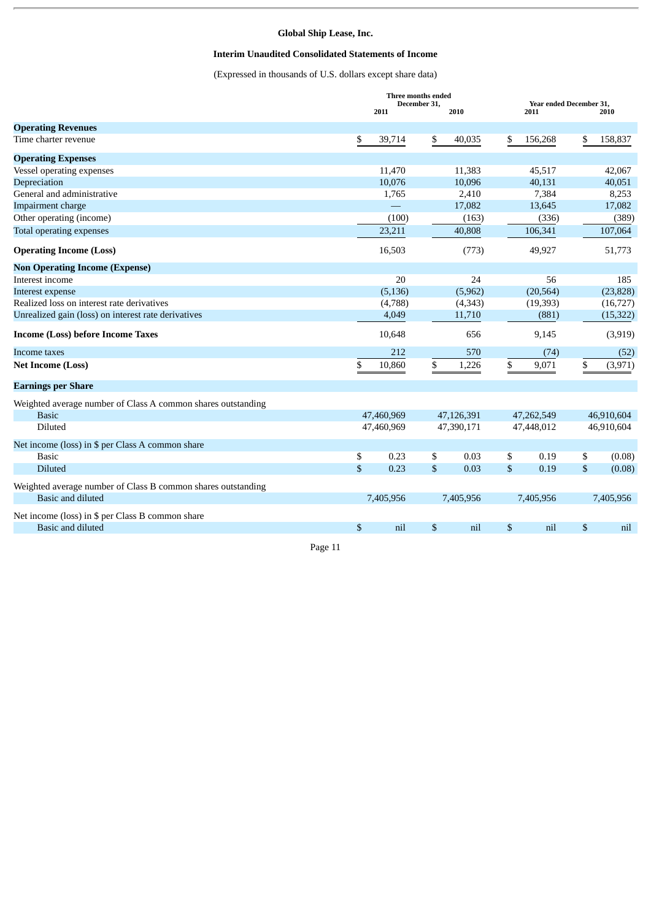## **Interim Unaudited Consolidated Statements of Income**

(Expressed in thousands of U.S. dollars except share data)

|                                                              |                | Three months ended<br>December 31.<br>2011 | 2010         |           | <b>Year ended December 31.</b><br>2011 |            | 2010       |
|--------------------------------------------------------------|----------------|--------------------------------------------|--------------|-----------|----------------------------------------|------------|------------|
| <b>Operating Revenues</b>                                    |                |                                            |              |           |                                        |            |            |
| Time charter revenue                                         | \$             | 39,714                                     | \$<br>40,035 | \$        | 156,268                                | \$         | 158,837    |
| <b>Operating Expenses</b>                                    |                |                                            |              |           |                                        |            |            |
| Vessel operating expenses                                    |                | 11,470                                     | 11,383       |           | 45,517                                 |            | 42,067     |
| Depreciation                                                 |                | 10,076                                     | 10,096       |           | 40,131                                 |            | 40,051     |
| General and administrative                                   |                | 1,765                                      | 2,410        |           | 7,384                                  |            | 8,253      |
| Impairment charge                                            |                |                                            | 17,082       |           | 13,645                                 |            | 17,082     |
| Other operating (income)                                     |                | (100)                                      | (163)        |           | (336)                                  |            | (389)      |
| Total operating expenses                                     |                | 23,211                                     | 40,808       |           | 106,341                                |            | 107,064    |
| <b>Operating Income (Loss)</b>                               |                | 16,503                                     | (773)        |           | 49,927                                 |            | 51,773     |
| <b>Non Operating Income (Expense)</b>                        |                |                                            |              |           |                                        |            |            |
| Interest income                                              |                | 20                                         | 24           |           | 56                                     |            | 185        |
| Interest expense                                             |                | (5, 136)                                   | (5,962)      | (20, 564) |                                        |            | (23, 828)  |
| Realized loss on interest rate derivatives                   |                | (4,788)                                    | (4, 343)     |           | (19, 393)                              |            | (16, 727)  |
| Unrealized gain (loss) on interest rate derivatives          |                | 4,049                                      | 11,710       |           | (881)                                  |            | (15, 322)  |
| <b>Income (Loss) before Income Taxes</b>                     |                | 10,648                                     | 656          |           | 9,145                                  |            | (3,919)    |
| Income taxes                                                 |                | 212                                        | 570          |           | (74)                                   |            | (52)       |
| <b>Net Income (Loss)</b>                                     | \$             | 10,860                                     | \$<br>1,226  | \$        | 9,071                                  | \$         | (3,971)    |
| <b>Earnings per Share</b>                                    |                |                                            |              |           |                                        |            |            |
| Weighted average number of Class A common shares outstanding |                |                                            |              |           |                                        |            |            |
| <b>Basic</b>                                                 |                | 47,460,969                                 | 47,126,391   |           | 47,262,549                             |            | 46,910,604 |
| Diluted                                                      |                | 47,460,969                                 | 47,390,171   |           | 47,448,012                             |            | 46,910,604 |
| Net income (loss) in \$ per Class A common share             |                |                                            |              |           |                                        |            |            |
| <b>Basic</b>                                                 | \$             | 0.23                                       | \$<br>0.03   | \$        | 0.19                                   | \$         | (0.08)     |
| <b>Diluted</b>                                               | $\mathfrak{s}$ | 0.23                                       | \$<br>0.03   | \$        | 0.19                                   | $\sqrt{2}$ | (0.08)     |
| Weighted average number of Class B common shares outstanding |                |                                            |              |           |                                        |            |            |
| Basic and diluted                                            |                | 7,405,956                                  | 7,405,956    |           | 7,405,956                              |            | 7,405,956  |
| Net income (loss) in \$ per Class B common share             |                |                                            |              |           |                                        |            |            |
| Basic and diluted                                            | \$             | nil                                        | \$<br>nil    | \$        | nil                                    | \$         | nil        |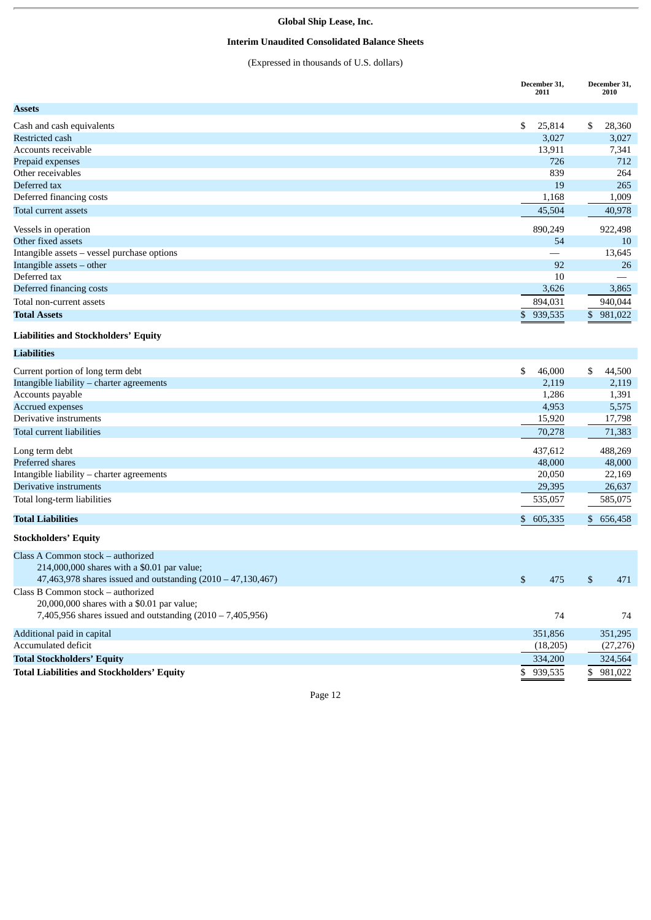## **Interim Unaudited Consolidated Balance Sheets**

(Expressed in thousands of U.S. dollars)

**December 31,**

|                                                                | December 31,<br>2011 | December 31,<br>2010 |
|----------------------------------------------------------------|----------------------|----------------------|
| Assets                                                         |                      |                      |
| Cash and cash equivalents                                      | \$<br>25,814         | \$<br>28,360         |
| Restricted cash                                                | 3,027                | 3,027                |
| Accounts receivable                                            | 13,911               | 7,341                |
| Prepaid expenses                                               | 726                  | 712                  |
| Other receivables                                              | 839                  | 264                  |
| Deferred tax                                                   | 19                   | 265                  |
| Deferred financing costs                                       | 1,168                | 1,009                |
| Total current assets                                           | 45,504               | 40,978               |
| Vessels in operation                                           | 890,249              | 922,498              |
| Other fixed assets                                             | 54                   | 10                   |
| Intangible assets - vessel purchase options                    |                      | 13,645               |
| Intangible assets - other                                      | 92                   | 26                   |
| Deferred tax                                                   | 10                   |                      |
| Deferred financing costs                                       | 3,626                | 3,865                |
| Total non-current assets                                       | 894,031              | 940,044              |
| <b>Total Assets</b>                                            | \$<br>939,535        | \$<br>981,022        |
| <b>Liabilities and Stockholders' Equity</b>                    |                      |                      |
| <b>Liabilities</b>                                             |                      |                      |
| Current portion of long term debt                              | \$<br>46,000         | \$<br>44,500         |
| Intangible liability - charter agreements                      | 2,119                | 2,119                |
| Accounts payable                                               | 1,286                | 1,391                |
| <b>Accrued expenses</b>                                        | 4,953                | 5,575                |
| Derivative instruments                                         | 15,920               | 17,798               |
| Total current liabilities                                      | 70,278               | 71,383               |
| Long term debt                                                 | 437,612              | 488,269              |
| <b>Preferred shares</b>                                        | 48,000               | 48,000               |
| Intangible liability - charter agreements                      | 20,050               | 22,169               |
| Derivative instruments                                         | 29,395               | 26,637               |
| Total long-term liabilities                                    | 535,057              | 585,075              |
| <b>Total Liabilities</b>                                       | \$<br>605,335        | \$656,458            |
| <b>Stockholders' Equity</b>                                    |                      |                      |
| Class A Common stock - authorized                              |                      |                      |
| 214,000,000 shares with a \$0.01 par value;                    |                      |                      |
| 47,463,978 shares issued and outstanding $(2010 – 47,130,467)$ | \$<br>475            | \$<br>471            |
| Class B Common stock - authorized                              |                      |                      |
| 20,000,000 shares with a \$0.01 par value;                     |                      |                      |
| 7,405,956 shares issued and outstanding $(2010 – 7,405,956)$   | 74                   | 74                   |
| Additional paid in capital                                     | 351,856              | 351,295              |
| Accumulated deficit                                            | (18, 205)            | (27, 276)            |
| <b>Total Stockholders' Equity</b>                              | 334,200              | 324,564              |
| <b>Total Liabilities and Stockholders' Equity</b>              | \$939,535            | \$981,022            |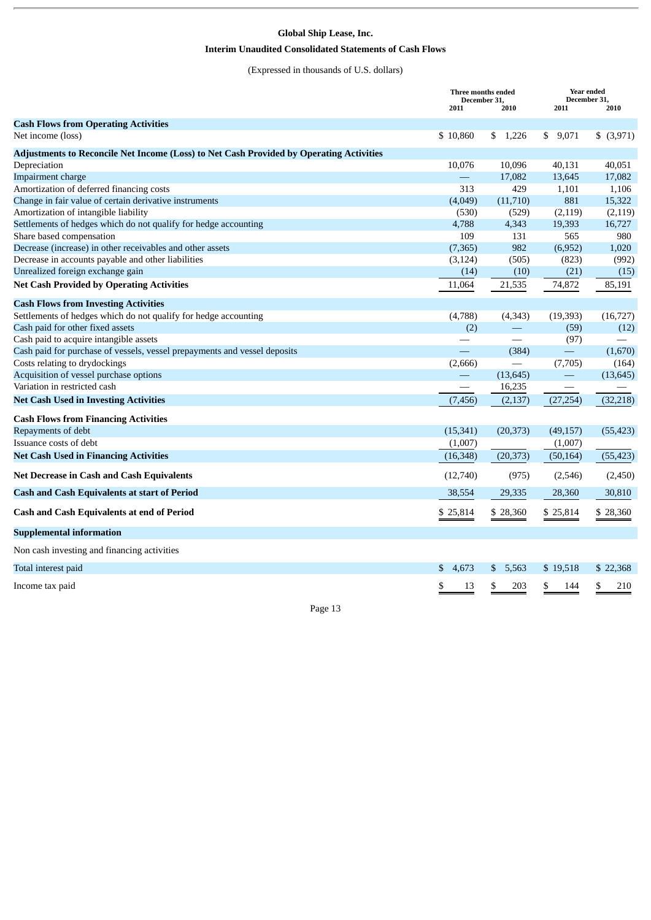## **Interim Unaudited Consolidated Statements of Cash Flows**

(Expressed in thousands of U.S. dollars)

|                                                                                         | Three months ended<br>December 31.<br>2011 | 2010                     | Year ended<br>December 31.<br>2011<br>2010 |            |  |
|-----------------------------------------------------------------------------------------|--------------------------------------------|--------------------------|--------------------------------------------|------------|--|
| <b>Cash Flows from Operating Activities</b>                                             |                                            |                          |                                            |            |  |
| Net income (loss)                                                                       | \$10,860                                   | \$1,226                  | \$<br>9,071                                | \$ (3,971) |  |
| Adjustments to Reconcile Net Income (Loss) to Net Cash Provided by Operating Activities |                                            |                          |                                            |            |  |
| Depreciation                                                                            | 10,076                                     | 10,096                   | 40,131                                     | 40,051     |  |
| Impairment charge                                                                       | $\overline{\phantom{0}}$                   | 17,082                   | 13,645                                     | 17,082     |  |
| Amortization of deferred financing costs                                                | 313                                        | 429                      | 1,101                                      | 1,106      |  |
| Change in fair value of certain derivative instruments                                  | (4,049)                                    | (11,710)                 | 881                                        | 15,322     |  |
| Amortization of intangible liability                                                    | (530)                                      | (529)                    | (2, 119)                                   | (2, 119)   |  |
| Settlements of hedges which do not qualify for hedge accounting                         | 4,788                                      | 4,343                    | 19,393                                     | 16,727     |  |
| Share based compensation                                                                | 109                                        | 131                      | 565                                        | 980        |  |
| Decrease (increase) in other receivables and other assets                               | (7, 365)                                   | 982                      | (6,952)                                    | 1,020      |  |
| Decrease in accounts payable and other liabilities                                      | (3, 124)                                   | (505)                    | (823)                                      | (992)      |  |
| Unrealized foreign exchange gain                                                        | (14)                                       | (10)                     | (21)                                       | (15)       |  |
| <b>Net Cash Provided by Operating Activities</b>                                        | 11,064                                     | 21,535                   | 74,872                                     | 85,191     |  |
| <b>Cash Flows from Investing Activities</b>                                             |                                            |                          |                                            |            |  |
| Settlements of hedges which do not qualify for hedge accounting                         | (4,788)                                    | (4, 343)                 | (19, 393)                                  | (16, 727)  |  |
| Cash paid for other fixed assets                                                        | (2)                                        |                          | (59)                                       | (12)       |  |
| Cash paid to acquire intangible assets                                                  |                                            | $\equiv$                 | (97)                                       |            |  |
| Cash paid for purchase of vessels, vessel prepayments and vessel deposits               |                                            | (384)                    |                                            | (1,670)    |  |
| Costs relating to drydockings                                                           | (2,666)                                    | $\overline{\phantom{0}}$ | (7,705)                                    | (164)      |  |
| Acquisition of vessel purchase options                                                  |                                            | (13, 645)                |                                            | (13, 645)  |  |
| Variation in restricted cash                                                            | $\overline{\phantom{0}}$                   | 16,235                   | $\overline{\phantom{0}}$                   |            |  |
| <b>Net Cash Used in Investing Activities</b>                                            | (7, 456)                                   | (2,137)                  | (27, 254)                                  | (32, 218)  |  |
| <b>Cash Flows from Financing Activities</b>                                             |                                            |                          |                                            |            |  |
| Repayments of debt                                                                      | (15, 341)                                  | (20, 373)                | (49, 157)                                  | (55, 423)  |  |
| Issuance costs of debt                                                                  | (1,007)                                    |                          | (1,007)                                    |            |  |
| <b>Net Cash Used in Financing Activities</b>                                            | (16, 348)                                  | (20, 373)                | (50, 164)                                  | (55, 423)  |  |
| Net Decrease in Cash and Cash Equivalents                                               | (12,740)                                   | (975)                    | (2,546)                                    | (2,450)    |  |
| <b>Cash and Cash Equivalents at start of Period</b>                                     | 38,554                                     | 29,335                   | 28,360                                     | 30,810     |  |
| <b>Cash and Cash Equivalents at end of Period</b>                                       | \$25,814                                   | \$28,360                 | \$25,814                                   | \$28,360   |  |
| <b>Supplemental information</b>                                                         |                                            |                          |                                            |            |  |
| Non cash investing and financing activities                                             |                                            |                          |                                            |            |  |
| Total interest paid                                                                     | 4,673<br>\$                                | 5,563<br>S.              | \$19,518                                   | \$22,368   |  |
| Income tax paid                                                                         | \$<br>13                                   | \$<br>203                | \$<br>144                                  | \$<br>210  |  |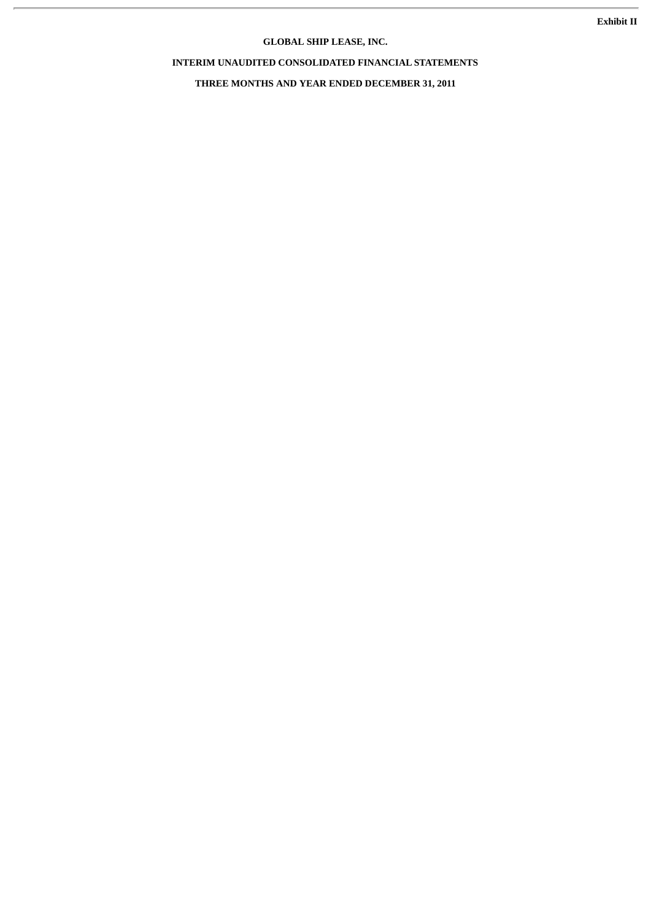## **GLOBAL SHIP LEASE, INC.**

## **INTERIM UNAUDITED CONSOLIDATED FINANCIAL STATEMENTS**

**THREE MONTHS AND YEAR ENDED DECEMBER 31, 2011**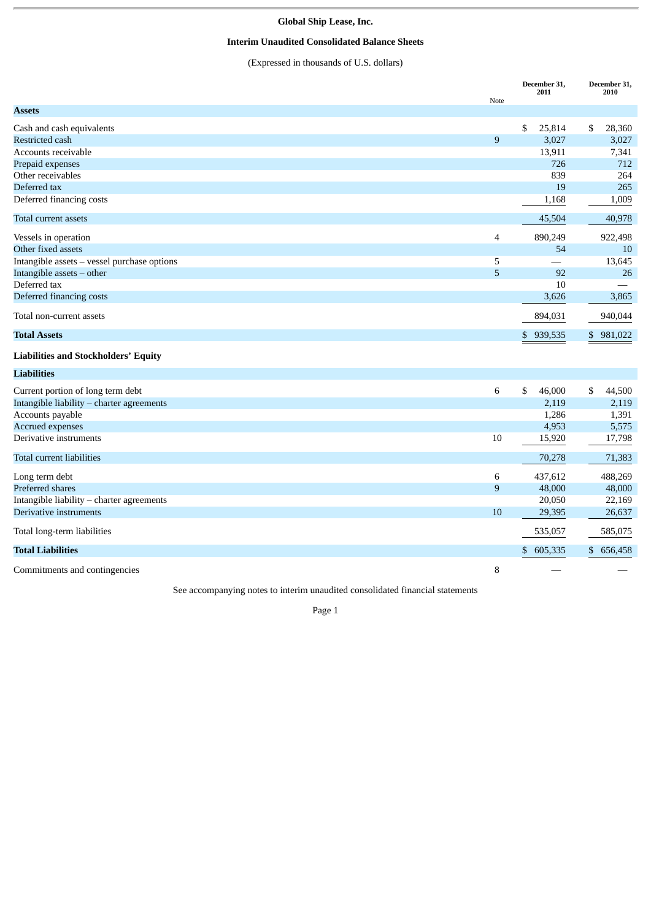## **Interim Unaudited Consolidated Balance Sheets**

(Expressed in thousands of U.S. dollars)

|                                             | Note             | December 31,<br>2011 | December 31,<br>2010 |
|---------------------------------------------|------------------|----------------------|----------------------|
| <b>Assets</b>                               |                  |                      |                      |
| Cash and cash equivalents                   |                  | \$<br>25,814         | \$<br>28,360         |
| Restricted cash                             | $\boldsymbol{9}$ | 3,027                | 3,027                |
| Accounts receivable                         |                  | 13,911               | 7,341                |
| Prepaid expenses                            |                  | 726                  | 712                  |
| Other receivables                           |                  | 839                  | 264                  |
| Deferred tax                                |                  | 19                   | 265                  |
| Deferred financing costs                    |                  | 1,168                | 1,009                |
| Total current assets                        |                  | 45,504               | 40,978               |
| Vessels in operation                        | 4                | 890,249              | 922,498              |
| Other fixed assets                          |                  | 54                   | 10                   |
| Intangible assets - vessel purchase options | 5                |                      | 13,645               |
| Intangible assets - other                   | 5                | 92                   | 26                   |
| Deferred tax                                |                  | 10                   |                      |
| Deferred financing costs                    |                  | 3,626                | 3,865                |
| Total non-current assets                    |                  | 894,031              | 940,044              |
| <b>Total Assets</b>                         |                  | \$939,535            | \$981,022            |
| <b>Liabilities and Stockholders' Equity</b> |                  |                      |                      |
| <b>Liabilities</b>                          |                  |                      |                      |
| Current portion of long term debt           | $\,6\,$          | \$<br>46,000         | \$<br>44,500         |
| Intangible liability - charter agreements   |                  | 2,119                | 2,119                |
| Accounts payable                            |                  | 1,286                | 1,391                |
| <b>Accrued expenses</b>                     |                  | 4,953                | 5,575                |
| Derivative instruments                      | 10               | 15,920               | 17,798               |
| Total current liabilities                   |                  | 70,278               | 71,383               |
| Long term debt                              | 6                | 437,612              | 488,269              |
| Preferred shares                            | $\boldsymbol{9}$ | 48,000               | 48,000               |
| Intangible liability - charter agreements   |                  | 20,050               | 22,169               |
| Derivative instruments                      | 10               | 29,395               | 26,637               |
| Total long-term liabilities                 |                  | 535,057              | 585,075              |
| <b>Total Liabilities</b>                    |                  | 605,335<br>\$        | \$656,458            |
| Commitments and contingencies               | 8                |                      |                      |

See accompanying notes to interim unaudited consolidated financial statements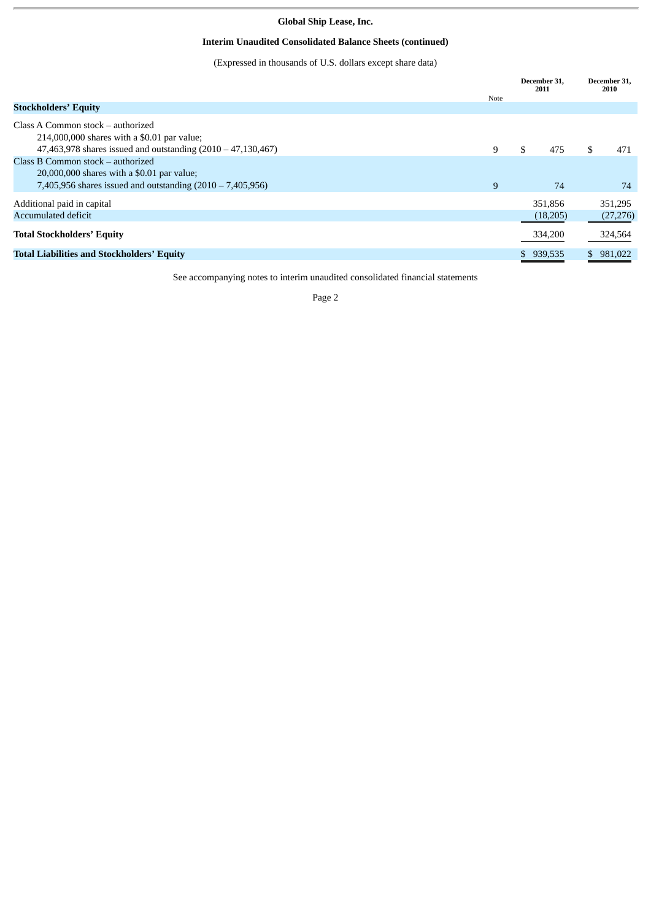## **Interim Unaudited Consolidated Balance Sheets (continued)**

(Expressed in thousands of U.S. dollars except share data)

|                                                                |      | December 31.<br>2011 | December 31,<br>2010 |
|----------------------------------------------------------------|------|----------------------|----------------------|
| <b>Stockholders' Equity</b>                                    | Note |                      |                      |
|                                                                |      |                      |                      |
| Class A Common stock – authorized                              |      |                      |                      |
| 214,000,000 shares with a \$0.01 par value;                    |      |                      |                      |
| 47,463,978 shares issued and outstanding $(2010 – 47,130,467)$ | 9    | 475<br>ж             | 471                  |
| Class B Common stock – authorized                              |      |                      |                      |
| $20,000,000$ shares with a \$0.01 par value;                   |      |                      |                      |
| 7,405,956 shares issued and outstanding $(2010 - 7,405,956)$   | 9    | 74                   | 74                   |
| Additional paid in capital                                     |      | 351,856              | 351,295              |
| Accumulated deficit                                            |      | (18, 205)            | (27, 276)            |
| <b>Total Stockholders' Equity</b>                              |      | 334,200              | 324,564              |
|                                                                |      |                      |                      |
| <b>Total Liabilities and Stockholders' Equity</b>              |      | 939,535              | \$981,022            |

See accompanying notes to interim unaudited consolidated financial statements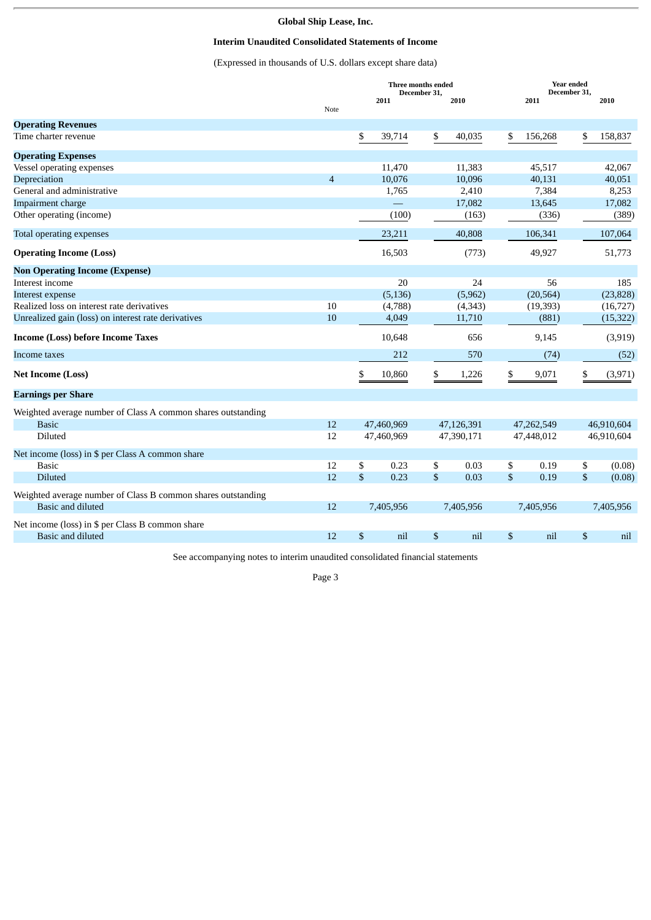## **Interim Unaudited Consolidated Statements of Income**

(Expressed in thousands of U.S. dollars except share data)

|                                                              |                | Three months ended<br>December 31.<br>2011<br>2010 |            |    | <b>Year ended</b><br>December 31,<br>2011 |    |            | 2010       |            |
|--------------------------------------------------------------|----------------|----------------------------------------------------|------------|----|-------------------------------------------|----|------------|------------|------------|
|                                                              | Note           |                                                    |            |    |                                           |    |            |            |            |
| <b>Operating Revenues</b>                                    |                |                                                    |            |    |                                           |    |            |            |            |
| Time charter revenue                                         |                | \$                                                 | 39,714     | \$ | 40,035                                    | \$ | 156,268    | \$         | 158,837    |
| <b>Operating Expenses</b>                                    |                |                                                    |            |    |                                           |    |            |            |            |
| Vessel operating expenses                                    |                |                                                    | 11,470     |    | 11,383                                    |    | 45,517     |            | 42,067     |
| Depreciation                                                 | $\overline{4}$ |                                                    | 10,076     |    | 10,096                                    |    | 40,131     |            | 40,051     |
| General and administrative                                   |                |                                                    | 1,765      |    | 2,410                                     |    | 7,384      |            | 8,253      |
| Impairment charge                                            |                |                                                    | $\equiv$   |    | 17,082                                    |    | 13,645     |            | 17,082     |
| Other operating (income)                                     |                |                                                    | (100)      |    | (163)                                     |    | (336)      |            | (389)      |
| Total operating expenses                                     |                |                                                    | 23,211     |    | 40,808                                    |    | 106,341    |            | 107,064    |
| <b>Operating Income (Loss)</b>                               |                |                                                    | 16,503     |    | (773)                                     |    | 49,927     |            | 51,773     |
| <b>Non Operating Income (Expense)</b>                        |                |                                                    |            |    |                                           |    |            |            |            |
| Interest income                                              |                |                                                    | 20         |    | 24                                        |    | 56         |            | 185        |
| Interest expense                                             |                |                                                    | (5, 136)   |    | (5,962)                                   |    | (20, 564)  |            | (23, 828)  |
| Realized loss on interest rate derivatives                   | 10             |                                                    | (4,788)    |    | (4,343)                                   |    | (19, 393)  |            | (16, 727)  |
| Unrealized gain (loss) on interest rate derivatives          | 10             |                                                    | 4,049      |    | 11,710                                    |    | (881)      |            | (15, 322)  |
| <b>Income (Loss) before Income Taxes</b>                     |                |                                                    | 10,648     |    | 656                                       |    | 9,145      |            | (3,919)    |
| Income taxes                                                 |                |                                                    | 212        |    | 570                                       |    | (74)       |            | (52)       |
| <b>Net Income (Loss)</b>                                     |                |                                                    | 10,860     | \$ | 1,226                                     | \$ | 9,071      | \$         | (3,971)    |
| <b>Earnings per Share</b>                                    |                |                                                    |            |    |                                           |    |            |            |            |
| Weighted average number of Class A common shares outstanding |                |                                                    |            |    |                                           |    |            |            |            |
| <b>Basic</b>                                                 | 12             |                                                    | 47,460,969 |    | 47,126,391                                |    | 47,262,549 |            | 46,910,604 |
| Diluted                                                      | 12             |                                                    | 47,460,969 |    | 47,390,171                                |    | 47,448,012 |            | 46,910,604 |
| Net income (loss) in \$ per Class A common share             |                |                                                    |            |    |                                           |    |            |            |            |
| <b>Basic</b>                                                 | 12             | \$                                                 | 0.23       | \$ | 0.03                                      | \$ | 0.19       | \$         | (0.08)     |
| <b>Diluted</b>                                               | 12             | $\mathbb{S}$                                       | 0.23       | \$ | 0.03                                      | \$ | 0.19       | $\sqrt{2}$ | (0.08)     |
| Weighted average number of Class B common shares outstanding |                |                                                    |            |    |                                           |    |            |            |            |
| Basic and diluted                                            | 12             |                                                    | 7,405,956  |    | 7,405,956                                 |    | 7,405,956  |            | 7,405,956  |
| Net income (loss) in \$ per Class B common share             |                |                                                    |            |    |                                           |    |            |            |            |
| Basic and diluted                                            | 12             | \$                                                 | nil        | \$ | nil                                       | \$ | nil        | \$         | nil        |

See accompanying notes to interim unaudited consolidated financial statements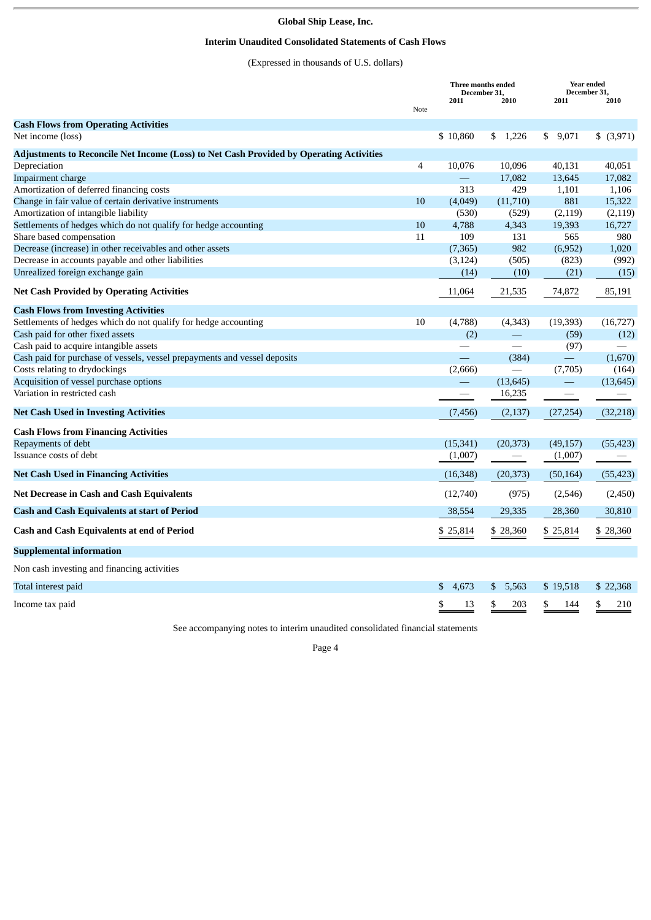## **Interim Unaudited Consolidated Statements of Cash Flows**

(Expressed in thousands of U.S. dollars)

|                                                                                         | December 31,<br>2011<br>2010<br>Note |             |                                  |                   |            |  | 2011 |  | Year ended<br><b>Three months ended</b><br>December 31, |  | 2010 |
|-----------------------------------------------------------------------------------------|--------------------------------------|-------------|----------------------------------|-------------------|------------|--|------|--|---------------------------------------------------------|--|------|
| <b>Cash Flows from Operating Activities</b>                                             |                                      |             |                                  |                   |            |  |      |  |                                                         |  |      |
| Net income (loss)                                                                       |                                      | \$10,860    | \$1,226                          | \$9,071           | \$ (3,971) |  |      |  |                                                         |  |      |
| Adjustments to Reconcile Net Income (Loss) to Net Cash Provided by Operating Activities |                                      |             |                                  |                   |            |  |      |  |                                                         |  |      |
| Depreciation                                                                            | $\overline{4}$                       | 10,076      | 10,096                           | 40,131            | 40,051     |  |      |  |                                                         |  |      |
| Impairment charge                                                                       |                                      |             | 17,082                           | 13,645            | 17,082     |  |      |  |                                                         |  |      |
| Amortization of deferred financing costs                                                |                                      | 313         | 429                              | 1,101             | 1,106      |  |      |  |                                                         |  |      |
| Change in fair value of certain derivative instruments                                  | 10                                   | (4,049)     | (11,710)                         | 881               | 15,322     |  |      |  |                                                         |  |      |
| Amortization of intangible liability                                                    |                                      | (530)       | (529)                            | (2,119)           | (2,119)    |  |      |  |                                                         |  |      |
| Settlements of hedges which do not qualify for hedge accounting                         | 10                                   | 4,788       | 4,343                            | 19,393            | 16,727     |  |      |  |                                                         |  |      |
| Share based compensation                                                                | 11                                   | 109         | 131                              | 565               | 980        |  |      |  |                                                         |  |      |
| Decrease (increase) in other receivables and other assets                               |                                      | (7, 365)    | 982                              | (6,952)           | 1,020      |  |      |  |                                                         |  |      |
| Decrease in accounts payable and other liabilities                                      |                                      | (3, 124)    | (505)                            | (823)             | (992)      |  |      |  |                                                         |  |      |
| Unrealized foreign exchange gain                                                        |                                      | (14)        | (10)                             | (21)              | (15)       |  |      |  |                                                         |  |      |
| <b>Net Cash Provided by Operating Activities</b>                                        |                                      | 11,064      | 21,535                           | 74,872            | 85,191     |  |      |  |                                                         |  |      |
| <b>Cash Flows from Investing Activities</b>                                             |                                      |             |                                  |                   |            |  |      |  |                                                         |  |      |
| Settlements of hedges which do not qualify for hedge accounting                         | 10                                   | (4,788)     | (4, 343)                         | (19, 393)         | (16, 727)  |  |      |  |                                                         |  |      |
| Cash paid for other fixed assets                                                        |                                      | (2)         |                                  | (59)              | (12)       |  |      |  |                                                         |  |      |
| Cash paid to acquire intangible assets                                                  |                                      |             | $\qquad \qquad$                  | (97)              |            |  |      |  |                                                         |  |      |
| Cash paid for purchase of vessels, vessel prepayments and vessel deposits               |                                      |             | (384)                            | $\qquad \qquad -$ | (1,670)    |  |      |  |                                                         |  |      |
| Costs relating to drydockings                                                           |                                      | (2,666)     | $\overbrace{\phantom{12322111}}$ | (7,705)           | (164)      |  |      |  |                                                         |  |      |
| Acquisition of vessel purchase options                                                  |                                      |             | (13, 645)                        |                   | (13, 645)  |  |      |  |                                                         |  |      |
| Variation in restricted cash                                                            |                                      |             | 16,235                           |                   |            |  |      |  |                                                         |  |      |
| Net Cash Used in Investing Activities                                                   |                                      | (7, 456)    | (2, 137)                         | (27, 254)         | (32, 218)  |  |      |  |                                                         |  |      |
| <b>Cash Flows from Financing Activities</b>                                             |                                      |             |                                  |                   |            |  |      |  |                                                         |  |      |
| Repayments of debt                                                                      |                                      | (15,341)    | (20, 373)                        | (49, 157)         | (55, 423)  |  |      |  |                                                         |  |      |
| Issuance costs of debt                                                                  |                                      | (1,007)     |                                  | (1,007)           |            |  |      |  |                                                         |  |      |
| <b>Net Cash Used in Financing Activities</b>                                            |                                      | (16, 348)   | (20, 373)                        | (50, 164)         | (55, 423)  |  |      |  |                                                         |  |      |
| Net Decrease in Cash and Cash Equivalents                                               |                                      | (12,740)    | (975)                            | (2,546)           | (2,450)    |  |      |  |                                                         |  |      |
| <b>Cash and Cash Equivalents at start of Period</b>                                     |                                      | 38,554      | 29,335                           | 28,360            | 30,810     |  |      |  |                                                         |  |      |
| Cash and Cash Equivalents at end of Period                                              |                                      | \$25,814    | \$28,360                         | \$25,814          | \$28,360   |  |      |  |                                                         |  |      |
| <b>Supplemental information</b>                                                         |                                      |             |                                  |                   |            |  |      |  |                                                         |  |      |
| Non cash investing and financing activities                                             |                                      |             |                                  |                   |            |  |      |  |                                                         |  |      |
| Total interest paid                                                                     |                                      | 4,673<br>\$ | \$5,563                          | \$19,518          | \$22,368   |  |      |  |                                                         |  |      |
| Income tax paid                                                                         |                                      | \$<br>13    | \$<br>203                        | \$<br>144         | \$<br>210  |  |      |  |                                                         |  |      |

See accompanying notes to interim unaudited consolidated financial statements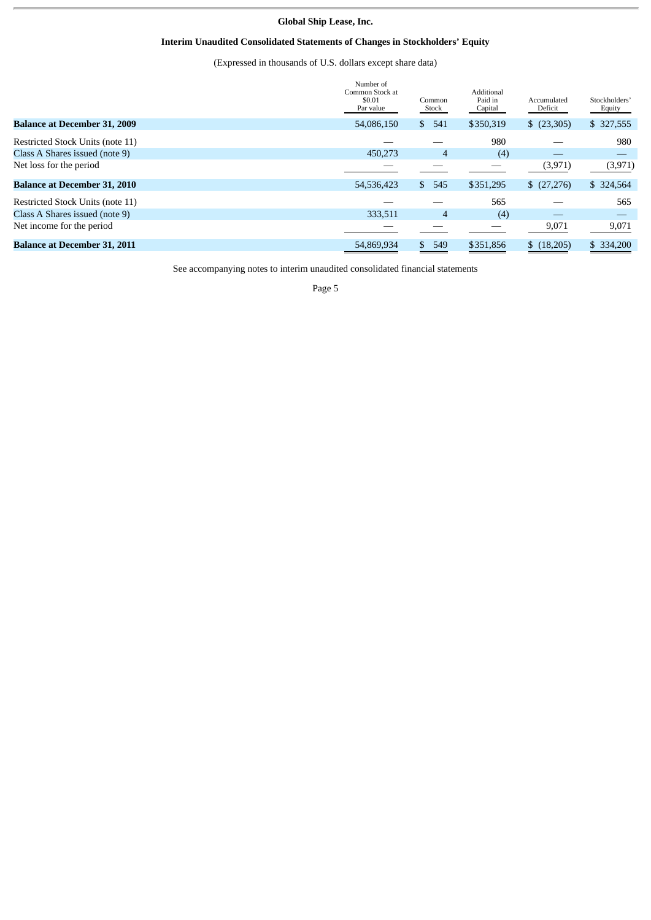## **Interim Unaudited Consolidated Statements of Changes in Stockholders' Equity**

(Expressed in thousands of U.S. dollars except share data)

|                                     | Number of<br>Common Stock at<br>\$0.01<br>Par value | Common<br>Stock       | Additional<br>Paid in<br>Capital | Accumulated<br>Deficit | Stockholders'<br>Equity |
|-------------------------------------|-----------------------------------------------------|-----------------------|----------------------------------|------------------------|-------------------------|
| <b>Balance at December 31, 2009</b> | 54,086,150                                          | 541<br>$\mathbb{S}^-$ | \$350,319                        | \$(23,305)             | \$ 327,555              |
| Restricted Stock Units (note 11)    |                                                     |                       | 980                              |                        | 980                     |
| Class A Shares issued (note 9)      | 450,273                                             | $\overline{4}$        | (4)                              |                        |                         |
| Net loss for the period             |                                                     |                       |                                  | (3,971)                | (3,971)                 |
| <b>Balance at December 31, 2010</b> | 54,536,423                                          | 545<br>S.             | \$351,295                        | (27,276)               | \$ 324,564              |
| Restricted Stock Units (note 11)    |                                                     |                       | 565                              |                        | 565                     |
| Class A Shares issued (note 9)      | 333,511                                             | 4                     | (4)                              |                        |                         |
| Net income for the period           |                                                     |                       |                                  | 9,071                  | 9,071                   |
| <b>Balance at December 31, 2011</b> | 54,869,934                                          | 549<br>\$             | \$351,856                        | \$(18,205)             | \$ 334,200              |

See accompanying notes to interim unaudited consolidated financial statements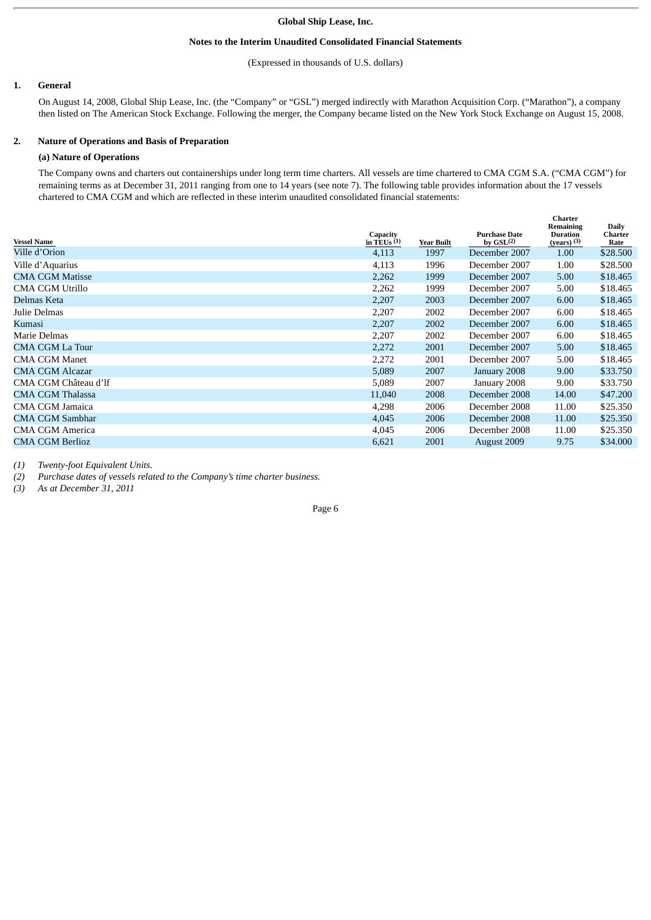#### **Notes to the Interim Unaudited Consolidated Financial Statements**

(Expressed in thousands of U.S. dollars)

#### **1. General**

On August 14, 2008, Global Ship Lease, Inc. (the "Company" or "GSL") merged indirectly with Marathon Acquisition Corp. ("Marathon"), a company then listed on The American Stock Exchange. Following the merger, the Company became listed on the New York Stock Exchange on August 15, 2008.

#### **2. Nature of Operations and Basis of Preparation**

#### **(a) Nature of Operations**

The Company owns and charters out containerships under long term time charters. All vessels are time chartered to CMA CGM S.A. ("CMA CGM") for remaining terms as at December 31, 2011 ranging from one to 14 years (see note 7). The following table provides information about the 17 vessels chartered to CMA CGM and which are reflected in these interim unaudited consolidated financial statements:

**Charter**

| <b>Vessel Name</b>      | <b>Capacity</b><br>in TEUs $(1)$ | <b>Year Built</b> | <b>Purchase Date</b><br>by $GSL(2)$ | Remaining<br><b>Duration</b><br>(years) $(3)$ | Daily<br>Charter<br>Rate |
|-------------------------|----------------------------------|-------------------|-------------------------------------|-----------------------------------------------|--------------------------|
| Ville d'Orion           | 4,113                            | 1997              | December 2007                       | 1.00                                          | \$28.500                 |
| Ville d'Aquarius        | 4,113                            | 1996              | December 2007                       | 1.00                                          | \$28.500                 |
| <b>CMA CGM Matisse</b>  | 2,262                            | 1999              | December 2007                       | 5.00                                          | \$18.465                 |
| <b>CMA CGM Utrillo</b>  | 2,262                            | 1999              | December 2007                       | 5.00                                          | \$18.465                 |
| Delmas Keta             | 2,207                            | 2003              | December 2007                       | 6.00                                          | \$18.465                 |
| Julie Delmas            | 2,207                            | 2002              | December 2007                       | 6.00                                          | \$18.465                 |
| Kumasi                  | 2,207                            | 2002              | December 2007                       | 6.00                                          | \$18.465                 |
| Marie Delmas            | 2,207                            | 2002              | December 2007                       | 6.00                                          | \$18.465                 |
| <b>CMA CGM La Tour</b>  | 2,272                            | 2001              | December 2007                       | 5.00                                          | \$18.465                 |
| <b>CMA CGM Manet</b>    | 2,272                            | 2001              | December 2007                       | 5.00                                          | \$18.465                 |
| <b>CMA CGM Alcazar</b>  | 5,089                            | 2007              | January 2008                        | 9.00                                          | \$33.750                 |
| CMA CGM Château d'If    | 5,089                            | 2007              | January 2008                        | 9.00                                          | \$33.750                 |
| <b>CMA CGM Thalassa</b> | 11,040                           | 2008              | December 2008                       | 14.00                                         | \$47,200                 |
| CMA CGM Jamaica         | 4,298                            | 2006              | December 2008                       | 11.00                                         | \$25.350                 |
| <b>CMA CGM Sambhar</b>  | 4,045                            | 2006              | December 2008                       | 11.00                                         | \$25.350                 |
| <b>CMA CGM America</b>  | 4,045                            | 2006              | December 2008                       | 11.00                                         | \$25.350                 |
| <b>CMA CGM Berlioz</b>  | 6,621                            | 2001              | August 2009                         | 9.75                                          | \$34.000                 |

*(1) Twenty-foot Equivalent Units.*

*(2) Purchase dates of vessels related to the Company's time charter business.*

*(3) As at December 31, 2011*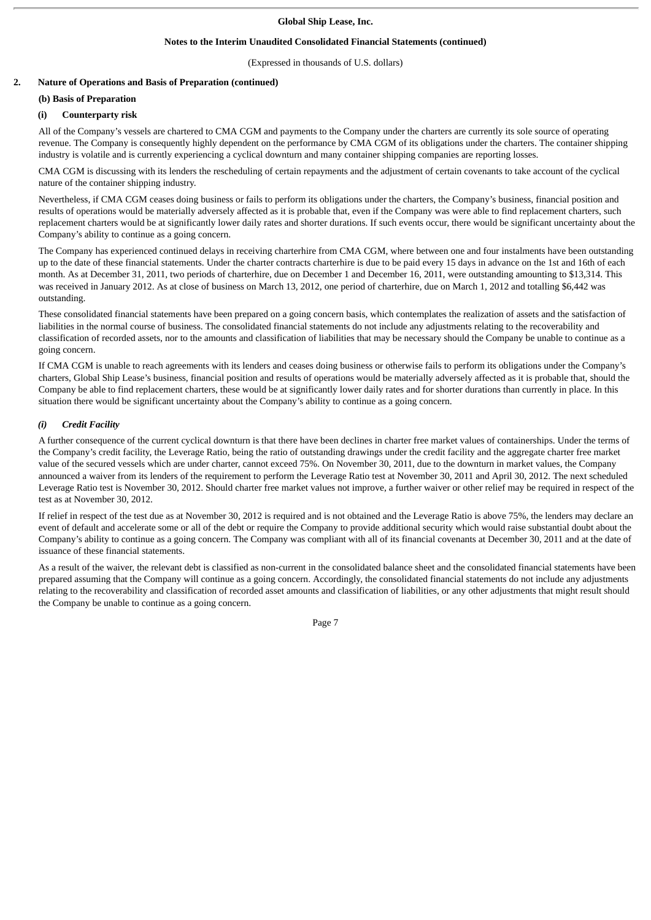#### **Notes to the Interim Unaudited Consolidated Financial Statements (continued)**

(Expressed in thousands of U.S. dollars)

#### **2. Nature of Operations and Basis of Preparation (continued)**

#### **(b) Basis of Preparation**

#### **(i) Counterparty risk**

All of the Company's vessels are chartered to CMA CGM and payments to the Company under the charters are currently its sole source of operating revenue. The Company is consequently highly dependent on the performance by CMA CGM of its obligations under the charters. The container shipping industry is volatile and is currently experiencing a cyclical downturn and many container shipping companies are reporting losses.

CMA CGM is discussing with its lenders the rescheduling of certain repayments and the adjustment of certain covenants to take account of the cyclical nature of the container shipping industry.

Nevertheless, if CMA CGM ceases doing business or fails to perform its obligations under the charters, the Company's business, financial position and results of operations would be materially adversely affected as it is probable that, even if the Company was were able to find replacement charters, such replacement charters would be at significantly lower daily rates and shorter durations. If such events occur, there would be significant uncertainty about the Company's ability to continue as a going concern.

The Company has experienced continued delays in receiving charterhire from CMA CGM, where between one and four instalments have been outstanding up to the date of these financial statements. Under the charter contracts charterhire is due to be paid every 15 days in advance on the 1st and 16th of each month. As at December 31, 2011, two periods of charterhire, due on December 1 and December 16, 2011, were outstanding amounting to \$13,314. This was received in January 2012. As at close of business on March 13, 2012, one period of charterhire, due on March 1, 2012 and totalling \$6,442 was outstanding.

These consolidated financial statements have been prepared on a going concern basis, which contemplates the realization of assets and the satisfaction of liabilities in the normal course of business. The consolidated financial statements do not include any adjustments relating to the recoverability and classification of recorded assets, nor to the amounts and classification of liabilities that may be necessary should the Company be unable to continue as a going concern.

If CMA CGM is unable to reach agreements with its lenders and ceases doing business or otherwise fails to perform its obligations under the Company's charters, Global Ship Lease's business, financial position and results of operations would be materially adversely affected as it is probable that, should the Company be able to find replacement charters, these would be at significantly lower daily rates and for shorter durations than currently in place. In this situation there would be significant uncertainty about the Company's ability to continue as a going concern.

#### *(i) Credit Facility*

A further consequence of the current cyclical downturn is that there have been declines in charter free market values of containerships. Under the terms of the Company's credit facility, the Leverage Ratio, being the ratio of outstanding drawings under the credit facility and the aggregate charter free market value of the secured vessels which are under charter, cannot exceed 75%. On November 30, 2011, due to the downturn in market values, the Company announced a waiver from its lenders of the requirement to perform the Leverage Ratio test at November 30, 2011 and April 30, 2012. The next scheduled Leverage Ratio test is November 30, 2012. Should charter free market values not improve, a further waiver or other relief may be required in respect of the test as at November 30, 2012.

If relief in respect of the test due as at November 30, 2012 is required and is not obtained and the Leverage Ratio is above 75%, the lenders may declare an event of default and accelerate some or all of the debt or require the Company to provide additional security which would raise substantial doubt about the Company's ability to continue as a going concern. The Company was compliant with all of its financial covenants at December 30, 2011 and at the date of issuance of these financial statements.

As a result of the waiver, the relevant debt is classified as non-current in the consolidated balance sheet and the consolidated financial statements have been prepared assuming that the Company will continue as a going concern. Accordingly, the consolidated financial statements do not include any adjustments relating to the recoverability and classification of recorded asset amounts and classification of liabilities, or any other adjustments that might result should the Company be unable to continue as a going concern.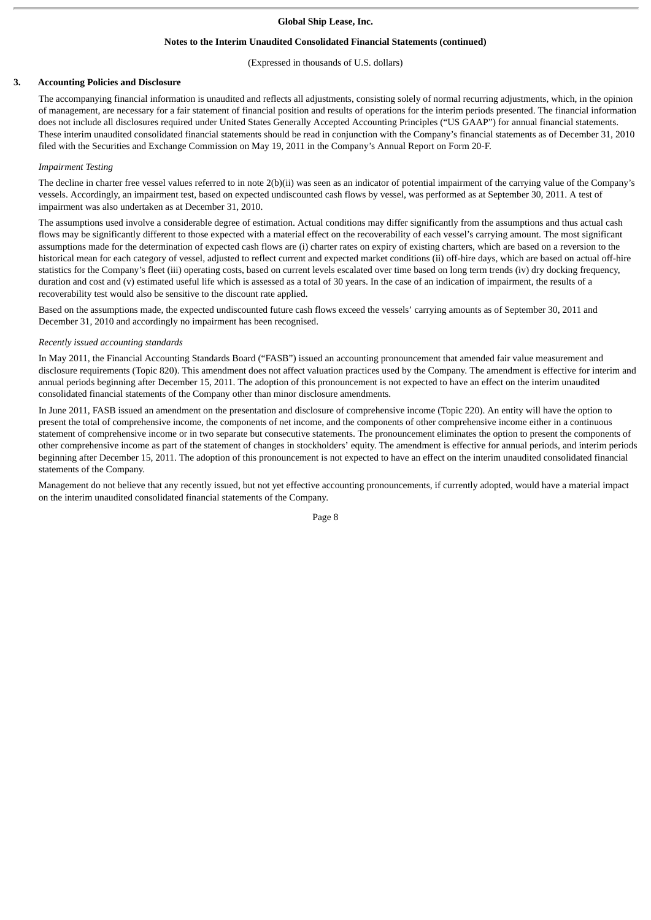#### **Notes to the Interim Unaudited Consolidated Financial Statements (continued)**

#### (Expressed in thousands of U.S. dollars)

## **3. Accounting Policies and Disclosure**

The accompanying financial information is unaudited and reflects all adjustments, consisting solely of normal recurring adjustments, which, in the opinion of management, are necessary for a fair statement of financial position and results of operations for the interim periods presented. The financial information does not include all disclosures required under United States Generally Accepted Accounting Principles ("US GAAP") for annual financial statements. These interim unaudited consolidated financial statements should be read in conjunction with the Company's financial statements as of December 31, 2010 filed with the Securities and Exchange Commission on May 19, 2011 in the Company's Annual Report on Form 20-F.

#### *Impairment Testing*

The decline in charter free vessel values referred to in note 2(b)(ii) was seen as an indicator of potential impairment of the carrying value of the Company's vessels. Accordingly, an impairment test, based on expected undiscounted cash flows by vessel, was performed as at September 30, 2011. A test of impairment was also undertaken as at December 31, 2010.

The assumptions used involve a considerable degree of estimation. Actual conditions may differ significantly from the assumptions and thus actual cash flows may be significantly different to those expected with a material effect on the recoverability of each vessel's carrying amount. The most significant assumptions made for the determination of expected cash flows are (i) charter rates on expiry of existing charters, which are based on a reversion to the historical mean for each category of vessel, adjusted to reflect current and expected market conditions (ii) off-hire days, which are based on actual off-hire statistics for the Company's fleet (iii) operating costs, based on current levels escalated over time based on long term trends (iv) dry docking frequency, duration and cost and (v) estimated useful life which is assessed as a total of 30 years. In the case of an indication of impairment, the results of a recoverability test would also be sensitive to the discount rate applied.

Based on the assumptions made, the expected undiscounted future cash flows exceed the vessels' carrying amounts as of September 30, 2011 and December 31, 2010 and accordingly no impairment has been recognised.

#### *Recently issued accounting standards*

In May 2011, the Financial Accounting Standards Board ("FASB") issued an accounting pronouncement that amended fair value measurement and disclosure requirements (Topic 820). This amendment does not affect valuation practices used by the Company. The amendment is effective for interim and annual periods beginning after December 15, 2011. The adoption of this pronouncement is not expected to have an effect on the interim unaudited consolidated financial statements of the Company other than minor disclosure amendments.

In June 2011, FASB issued an amendment on the presentation and disclosure of comprehensive income (Topic 220). An entity will have the option to present the total of comprehensive income, the components of net income, and the components of other comprehensive income either in a continuous statement of comprehensive income or in two separate but consecutive statements. The pronouncement eliminates the option to present the components of other comprehensive income as part of the statement of changes in stockholders' equity. The amendment is effective for annual periods, and interim periods beginning after December 15, 2011. The adoption of this pronouncement is not expected to have an effect on the interim unaudited consolidated financial statements of the Company.

Management do not believe that any recently issued, but not yet effective accounting pronouncements, if currently adopted, would have a material impact on the interim unaudited consolidated financial statements of the Company.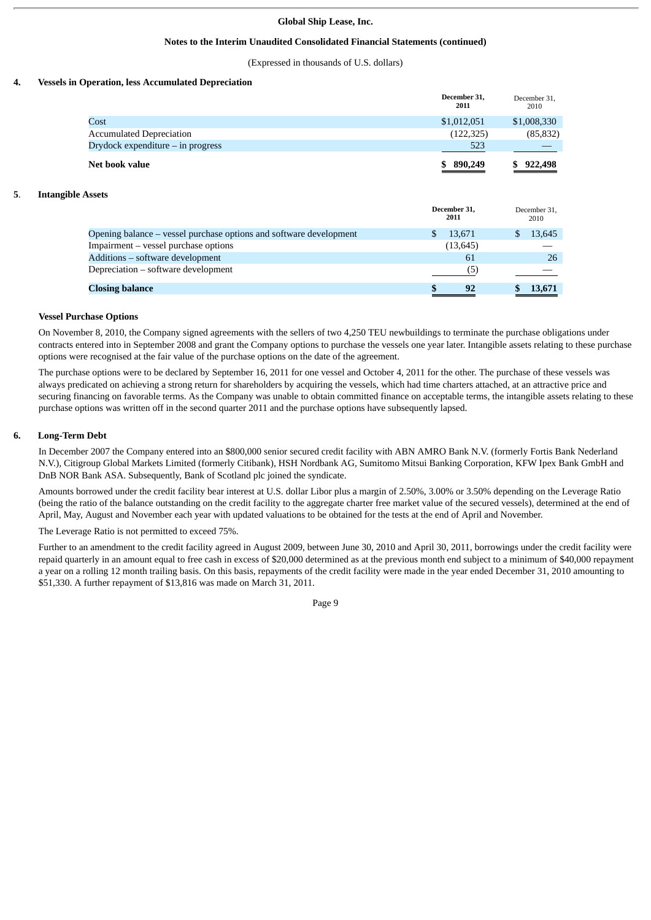#### **Notes to the Interim Unaudited Consolidated Financial Statements (continued)**

#### (Expressed in thousands of U.S. dollars)

#### **4. Vessels in Operation, less Accumulated Depreciation**

|                                        | December 31,<br>2011 | December 31,<br>2010 |
|----------------------------------------|----------------------|----------------------|
| Cost                                   | \$1,012,051          | \$1,008,330          |
| <b>Accumulated Depreciation</b>        | (122, 325)           | (85, 832)            |
| $Dry dock$ expenditure $-$ in progress | 523                  |                      |
| Net book value                         | 890,249              | 922,498<br>S.        |

#### **5**. **Intangible Assets**

|                                                                    | December 31.<br>2011 | December 31,<br>2010 |
|--------------------------------------------------------------------|----------------------|----------------------|
| Opening balance – vessel purchase options and software development | 13,671               | 13,645               |
| Impairment - vessel purchase options                               | (13, 645)            |                      |
| Additions - software development                                   | 61                   | 26                   |
| Depreciation - software development                                | (5)                  |                      |
| <b>Closing balance</b>                                             | 92                   | 13,671               |

#### **Vessel Purchase Options**

On November 8, 2010, the Company signed agreements with the sellers of two 4,250 TEU newbuildings to terminate the purchase obligations under contracts entered into in September 2008 and grant the Company options to purchase the vessels one year later. Intangible assets relating to these purchase options were recognised at the fair value of the purchase options on the date of the agreement.

The purchase options were to be declared by September 16, 2011 for one vessel and October 4, 2011 for the other. The purchase of these vessels was always predicated on achieving a strong return for shareholders by acquiring the vessels, which had time charters attached, at an attractive price and securing financing on favorable terms. As the Company was unable to obtain committed finance on acceptable terms, the intangible assets relating to these purchase options was written off in the second quarter 2011 and the purchase options have subsequently lapsed.

#### **6. Long-Term Debt**

In December 2007 the Company entered into an \$800,000 senior secured credit facility with ABN AMRO Bank N.V. (formerly Fortis Bank Nederland N.V.), Citigroup Global Markets Limited (formerly Citibank), HSH Nordbank AG, Sumitomo Mitsui Banking Corporation, KFW Ipex Bank GmbH and DnB NOR Bank ASA. Subsequently, Bank of Scotland plc joined the syndicate.

Amounts borrowed under the credit facility bear interest at U.S. dollar Libor plus a margin of 2.50%, 3.00% or 3.50% depending on the Leverage Ratio (being the ratio of the balance outstanding on the credit facility to the aggregate charter free market value of the secured vessels), determined at the end of April, May, August and November each year with updated valuations to be obtained for the tests at the end of April and November.

The Leverage Ratio is not permitted to exceed 75%.

Further to an amendment to the credit facility agreed in August 2009, between June 30, 2010 and April 30, 2011, borrowings under the credit facility were repaid quarterly in an amount equal to free cash in excess of \$20,000 determined as at the previous month end subject to a minimum of \$40,000 repayment a year on a rolling 12 month trailing basis. On this basis, repayments of the credit facility were made in the year ended December 31, 2010 amounting to \$51,330. A further repayment of \$13,816 was made on March 31, 2011.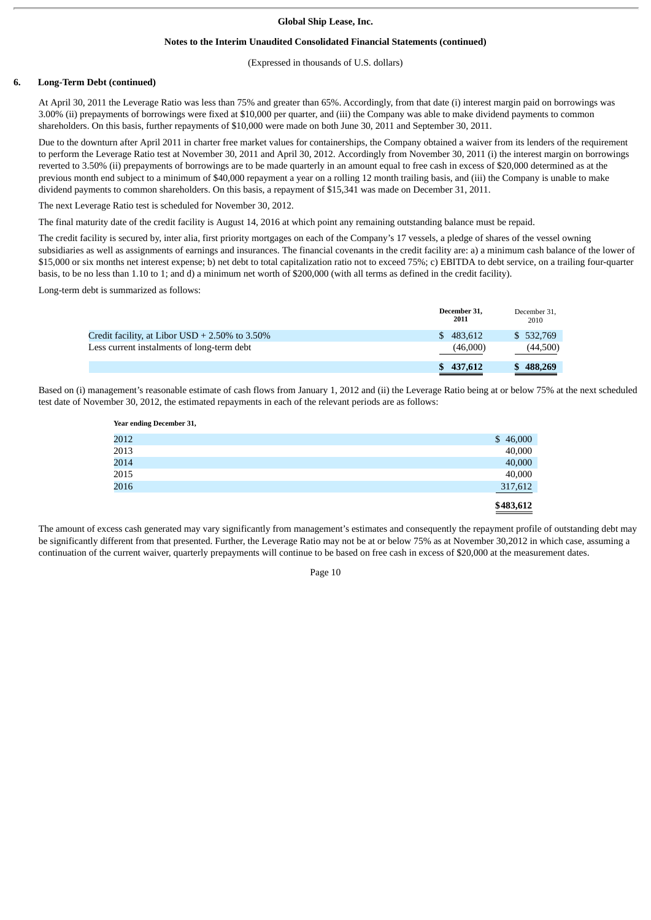#### **Notes to the Interim Unaudited Consolidated Financial Statements (continued)**

(Expressed in thousands of U.S. dollars)

## **6. Long-Term Debt (continued)**

At April 30, 2011 the Leverage Ratio was less than 75% and greater than 65%. Accordingly, from that date (i) interest margin paid on borrowings was 3.00% (ii) prepayments of borrowings were fixed at \$10,000 per quarter, and (iii) the Company was able to make dividend payments to common shareholders. On this basis, further repayments of \$10,000 were made on both June 30, 2011 and September 30, 2011.

Due to the downturn after April 2011 in charter free market values for containerships, the Company obtained a waiver from its lenders of the requirement to perform the Leverage Ratio test at November 30, 2011 and April 30, 2012. Accordingly from November 30, 2011 (i) the interest margin on borrowings reverted to 3.50% (ii) prepayments of borrowings are to be made quarterly in an amount equal to free cash in excess of \$20,000 determined as at the previous month end subject to a minimum of \$40,000 repayment a year on a rolling 12 month trailing basis, and (iii) the Company is unable to make dividend payments to common shareholders. On this basis, a repayment of \$15,341 was made on December 31, 2011.

The next Leverage Ratio test is scheduled for November 30, 2012.

The final maturity date of the credit facility is August 14, 2016 at which point any remaining outstanding balance must be repaid.

The credit facility is secured by, inter alia, first priority mortgages on each of the Company's 17 vessels, a pledge of shares of the vessel owning subsidiaries as well as assignments of earnings and insurances. The financial covenants in the credit facility are: a) a minimum cash balance of the lower of \$15,000 or six months net interest expense; b) net debt to total capitalization ratio not to exceed 75%; c) EBITDA to debt service, on a trailing four-quarter basis, to be no less than 1.10 to 1; and d) a minimum net worth of \$200,000 (with all terms as defined in the credit facility).

Long-term debt is summarized as follows:

|                                                     | December 31.<br>2011 | December 31.<br>2010 |
|-----------------------------------------------------|----------------------|----------------------|
| Credit facility, at Libor USD + 2.50% to 3.50% $\,$ | \$483.612            | \$532,769            |
| Less current instalments of long-term debt          | (46,000)             | (44,500)             |
|                                                     | \$437,612            | 488,269              |

Based on (i) management's reasonable estimate of cash flows from January 1, 2012 and (ii) the Leverage Ratio being at or below 75% at the next scheduled test date of November 30, 2012, the estimated repayments in each of the relevant periods are as follows:

| Year ending December 31, |           |
|--------------------------|-----------|
| 2012                     | \$46,000  |
| 2013                     | 40,000    |
| 2014                     | 40,000    |
| 2015                     | 40,000    |
| 2016                     | 317,612   |
|                          | \$483,612 |

The amount of excess cash generated may vary significantly from management's estimates and consequently the repayment profile of outstanding debt may be significantly different from that presented. Further, the Leverage Ratio may not be at or below 75% as at November 30,2012 in which case, assuming a continuation of the current waiver, quarterly prepayments will continue to be based on free cash in excess of \$20,000 at the measurement dates.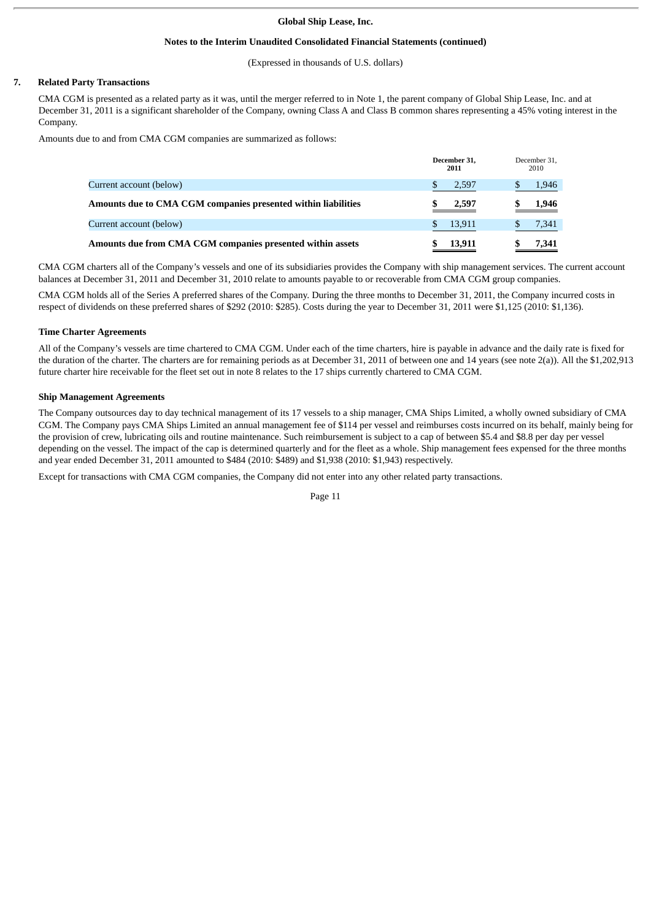#### **Notes to the Interim Unaudited Consolidated Financial Statements (continued)**

(Expressed in thousands of U.S. dollars)

#### **7. Related Party Transactions**

CMA CGM is presented as a related party as it was, until the merger referred to in Note 1, the parent company of Global Ship Lease, Inc. and at December 31, 2011 is a significant shareholder of the Company, owning Class A and Class B common shares representing a 45% voting interest in the Company.

Amounts due to and from CMA CGM companies are summarized as follows:

|                                                               | December 31.<br>2011 | December 31,<br>2010 |  |  |
|---------------------------------------------------------------|----------------------|----------------------|--|--|
| Current account (below)                                       | 2,597                | 1,946                |  |  |
| Amounts due to CMA CGM companies presented within liabilities | 2,597                | 1,946                |  |  |
| Current account (below)                                       | 13,911               | 7,341                |  |  |
| Amounts due from CMA CGM companies presented within assets    | 13,911               | 7,341                |  |  |

CMA CGM charters all of the Company's vessels and one of its subsidiaries provides the Company with ship management services. The current account balances at December 31, 2011 and December 31, 2010 relate to amounts payable to or recoverable from CMA CGM group companies.

CMA CGM holds all of the Series A preferred shares of the Company. During the three months to December 31, 2011, the Company incurred costs in respect of dividends on these preferred shares of \$292 (2010: \$285). Costs during the year to December 31, 2011 were \$1,125 (2010: \$1,136).

#### **Time Charter Agreements**

All of the Company's vessels are time chartered to CMA CGM. Under each of the time charters, hire is payable in advance and the daily rate is fixed for the duration of the charter. The charters are for remaining periods as at December 31, 2011 of between one and 14 years (see note 2(a)). All the \$1,202,913 future charter hire receivable for the fleet set out in note 8 relates to the 17 ships currently chartered to CMA CGM.

#### **Ship Management Agreements**

The Company outsources day to day technical management of its 17 vessels to a ship manager, CMA Ships Limited, a wholly owned subsidiary of CMA CGM. The Company pays CMA Ships Limited an annual management fee of \$114 per vessel and reimburses costs incurred on its behalf, mainly being for the provision of crew, lubricating oils and routine maintenance. Such reimbursement is subject to a cap of between \$5.4 and \$8.8 per day per vessel depending on the vessel. The impact of the cap is determined quarterly and for the fleet as a whole. Ship management fees expensed for the three months and year ended December 31, 2011 amounted to \$484 (2010: \$489) and \$1,938 (2010: \$1,943) respectively.

Except for transactions with CMA CGM companies, the Company did not enter into any other related party transactions.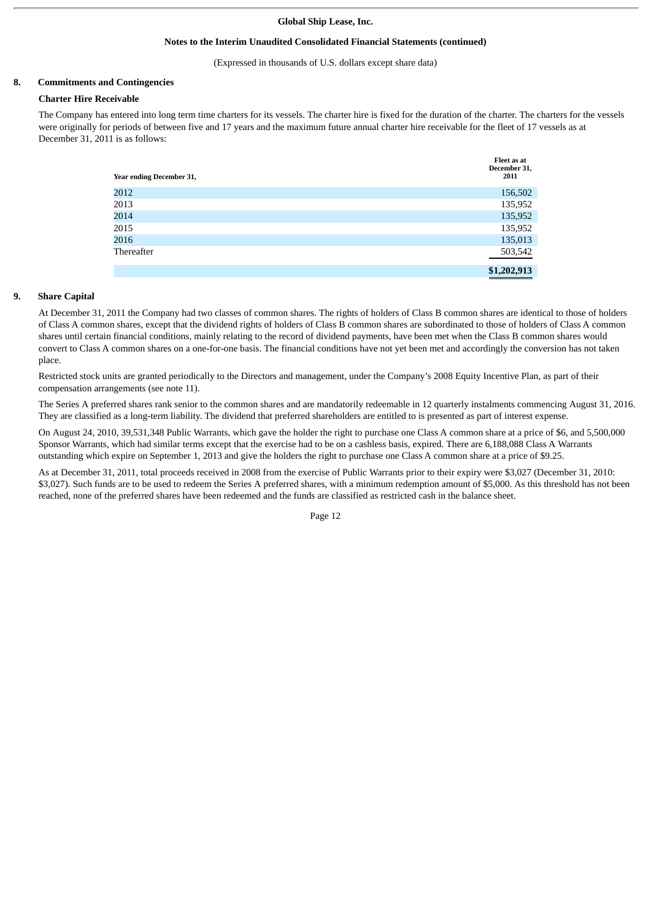#### **Notes to the Interim Unaudited Consolidated Financial Statements (continued)**

(Expressed in thousands of U.S. dollars except share data)

#### **8. Commitments and Contingencies**

#### **Charter Hire Receivable**

The Company has entered into long term time charters for its vessels. The charter hire is fixed for the duration of the charter. The charters for the vessels were originally for periods of between five and 17 years and the maximum future annual charter hire receivable for the fleet of 17 vessels as at December 31, 2011 is as follows:

| Year ending December 31, | Fleet as at<br>December 31,<br>2011 |
|--------------------------|-------------------------------------|
| 2012                     | 156,502                             |
| 2013                     | 135,952                             |
| 2014                     | 135,952                             |
| 2015                     | 135,952                             |
| 2016                     | 135,013                             |
| Thereafter               | 503,542                             |
|                          | \$1,202,913                         |

#### **9. Share Capital**

At December 31, 2011 the Company had two classes of common shares. The rights of holders of Class B common shares are identical to those of holders of Class A common shares, except that the dividend rights of holders of Class B common shares are subordinated to those of holders of Class A common shares until certain financial conditions, mainly relating to the record of dividend payments, have been met when the Class B common shares would convert to Class A common shares on a one-for-one basis. The financial conditions have not yet been met and accordingly the conversion has not taken place.

Restricted stock units are granted periodically to the Directors and management, under the Company's 2008 Equity Incentive Plan, as part of their compensation arrangements (see note 11).

The Series A preferred shares rank senior to the common shares and are mandatorily redeemable in 12 quarterly instalments commencing August 31, 2016. They are classified as a long-term liability. The dividend that preferred shareholders are entitled to is presented as part of interest expense.

On August 24, 2010, 39,531,348 Public Warrants, which gave the holder the right to purchase one Class A common share at a price of \$6, and 5,500,000 Sponsor Warrants, which had similar terms except that the exercise had to be on a cashless basis, expired. There are 6,188,088 Class A Warrants outstanding which expire on September 1, 2013 and give the holders the right to purchase one Class A common share at a price of \$9.25.

As at December 31, 2011, total proceeds received in 2008 from the exercise of Public Warrants prior to their expiry were \$3,027 (December 31, 2010: \$3,027). Such funds are to be used to redeem the Series A preferred shares, with a minimum redemption amount of \$5,000. As this threshold has not been reached, none of the preferred shares have been redeemed and the funds are classified as restricted cash in the balance sheet.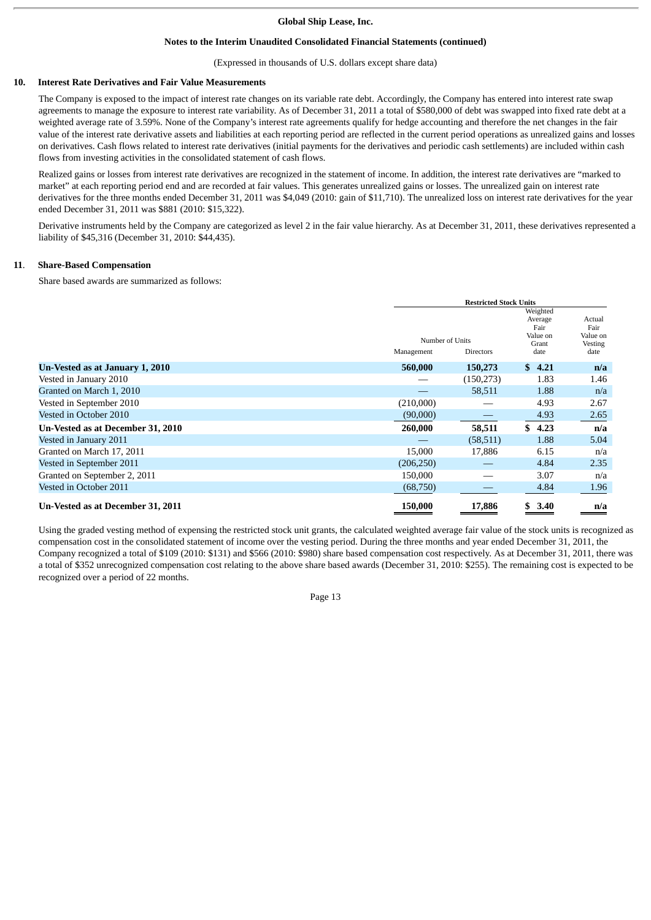#### **Notes to the Interim Unaudited Consolidated Financial Statements (continued)**

(Expressed in thousands of U.S. dollars except share data)

#### **10. Interest Rate Derivatives and Fair Value Measurements**

The Company is exposed to the impact of interest rate changes on its variable rate debt. Accordingly, the Company has entered into interest rate swap agreements to manage the exposure to interest rate variability. As of December 31, 2011 a total of \$580,000 of debt was swapped into fixed rate debt at a weighted average rate of 3.59%. None of the Company's interest rate agreements qualify for hedge accounting and therefore the net changes in the fair value of the interest rate derivative assets and liabilities at each reporting period are reflected in the current period operations as unrealized gains and losses on derivatives. Cash flows related to interest rate derivatives (initial payments for the derivatives and periodic cash settlements) are included within cash flows from investing activities in the consolidated statement of cash flows.

Realized gains or losses from interest rate derivatives are recognized in the statement of income. In addition, the interest rate derivatives are "marked to market" at each reporting period end and are recorded at fair values. This generates unrealized gains or losses. The unrealized gain on interest rate derivatives for the three months ended December 31, 2011 was \$4,049 (2010: gain of \$11,710). The unrealized loss on interest rate derivatives for the year ended December 31, 2011 was \$881 (2010: \$15,322).

Derivative instruments held by the Company are categorized as level 2 in the fair value hierarchy. As at December 31, 2011, these derivatives represented a liability of \$45,316 (December 31, 2010: \$44,435).

#### **11**. **Share-Based Compensation**

Share based awards are summarized as follows:

|                                   |            | <b>Restricted Stock Units</b>       |                                                          |                                               |  |
|-----------------------------------|------------|-------------------------------------|----------------------------------------------------------|-----------------------------------------------|--|
|                                   | Management | Number of Units<br><b>Directors</b> | Weighted<br>Average<br>Fair<br>Value on<br>Grant<br>date | Actual<br>Fair<br>Value on<br>Vesting<br>date |  |
| Un-Vested as at January 1, 2010   | 560,000    | 150,273                             | \$4.21                                                   | n/a                                           |  |
| Vested in January 2010            |            | (150, 273)                          | 1.83                                                     | 1.46                                          |  |
| Granted on March 1, 2010          |            | 58,511                              | 1.88                                                     | n/a                                           |  |
| Vested in September 2010          | (210,000)  |                                     | 4.93                                                     | 2.67                                          |  |
| Vested in October 2010            | (90,000)   |                                     | 4.93                                                     | 2.65                                          |  |
| Un-Vested as at December 31, 2010 | 260,000    | 58,511                              | \$4.23                                                   | n/a                                           |  |
| Vested in January 2011            |            | (58, 511)                           | 1.88                                                     | 5.04                                          |  |
| Granted on March 17, 2011         | 15,000     | 17,886                              | 6.15                                                     | n/a                                           |  |
| Vested in September 2011          | (206, 250) |                                     | 4.84                                                     | 2.35                                          |  |
| Granted on September 2, 2011      | 150,000    |                                     | 3.07                                                     | n/a                                           |  |
| Vested in October 2011            | (68,750)   |                                     | 4.84                                                     | 1.96                                          |  |
| Un-Vested as at December 31, 2011 | 150,000    | 17,886                              | 3.40<br>\$                                               | n/a                                           |  |

Using the graded vesting method of expensing the restricted stock unit grants, the calculated weighted average fair value of the stock units is recognized as compensation cost in the consolidated statement of income over the vesting period. During the three months and year ended December 31, 2011, the Company recognized a total of \$109 (2010: \$131) and \$566 (2010: \$980) share based compensation cost respectively. As at December 31, 2011, there was a total of \$352 unrecognized compensation cost relating to the above share based awards (December 31, 2010: \$255). The remaining cost is expected to be recognized over a period of 22 months.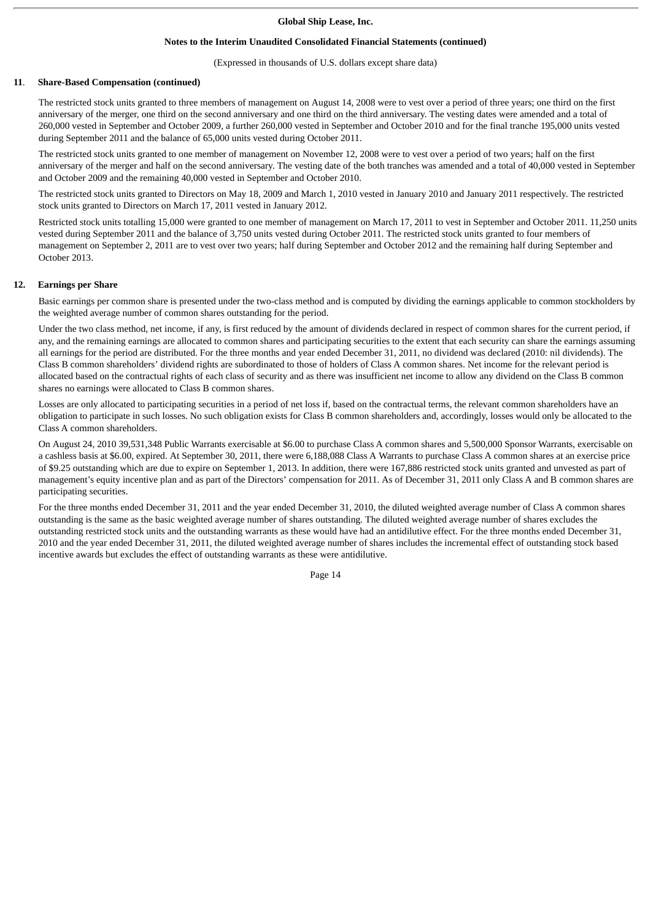#### **Notes to the Interim Unaudited Consolidated Financial Statements (continued)**

(Expressed in thousands of U.S. dollars except share data)

#### **11**. **Share-Based Compensation (continued)**

The restricted stock units granted to three members of management on August 14, 2008 were to vest over a period of three years; one third on the first anniversary of the merger, one third on the second anniversary and one third on the third anniversary. The vesting dates were amended and a total of 260,000 vested in September and October 2009, a further 260,000 vested in September and October 2010 and for the final tranche 195,000 units vested during September 2011 and the balance of 65,000 units vested during October 2011.

The restricted stock units granted to one member of management on November 12, 2008 were to vest over a period of two years; half on the first anniversary of the merger and half on the second anniversary. The vesting date of the both tranches was amended and a total of 40,000 vested in September and October 2009 and the remaining 40,000 vested in September and October 2010.

The restricted stock units granted to Directors on May 18, 2009 and March 1, 2010 vested in January 2010 and January 2011 respectively. The restricted stock units granted to Directors on March 17, 2011 vested in January 2012.

Restricted stock units totalling 15,000 were granted to one member of management on March 17, 2011 to vest in September and October 2011. 11,250 units vested during September 2011 and the balance of 3,750 units vested during October 2011. The restricted stock units granted to four members of management on September 2, 2011 are to vest over two years; half during September and October 2012 and the remaining half during September and October 2013.

#### **12. Earnings per Share**

Basic earnings per common share is presented under the two-class method and is computed by dividing the earnings applicable to common stockholders by the weighted average number of common shares outstanding for the period.

Under the two class method, net income, if any, is first reduced by the amount of dividends declared in respect of common shares for the current period, if any, and the remaining earnings are allocated to common shares and participating securities to the extent that each security can share the earnings assuming all earnings for the period are distributed. For the three months and year ended December 31, 2011, no dividend was declared (2010: nil dividends). The Class B common shareholders' dividend rights are subordinated to those of holders of Class A common shares. Net income for the relevant period is allocated based on the contractual rights of each class of security and as there was insufficient net income to allow any dividend on the Class B common shares no earnings were allocated to Class B common shares.

Losses are only allocated to participating securities in a period of net loss if, based on the contractual terms, the relevant common shareholders have an obligation to participate in such losses. No such obligation exists for Class B common shareholders and, accordingly, losses would only be allocated to the Class A common shareholders.

On August 24, 2010 39,531,348 Public Warrants exercisable at \$6.00 to purchase Class A common shares and 5,500,000 Sponsor Warrants, exercisable on a cashless basis at \$6.00, expired. At September 30, 2011, there were 6,188,088 Class A Warrants to purchase Class A common shares at an exercise price of \$9.25 outstanding which are due to expire on September 1, 2013. In addition, there were 167,886 restricted stock units granted and unvested as part of management's equity incentive plan and as part of the Directors' compensation for 2011. As of December 31, 2011 only Class A and B common shares are participating securities.

For the three months ended December 31, 2011 and the year ended December 31, 2010, the diluted weighted average number of Class A common shares outstanding is the same as the basic weighted average number of shares outstanding. The diluted weighted average number of shares excludes the outstanding restricted stock units and the outstanding warrants as these would have had an antidilutive effect. For the three months ended December 31, 2010 and the year ended December 31, 2011, the diluted weighted average number of shares includes the incremental effect of outstanding stock based incentive awards but excludes the effect of outstanding warrants as these were antidilutive.